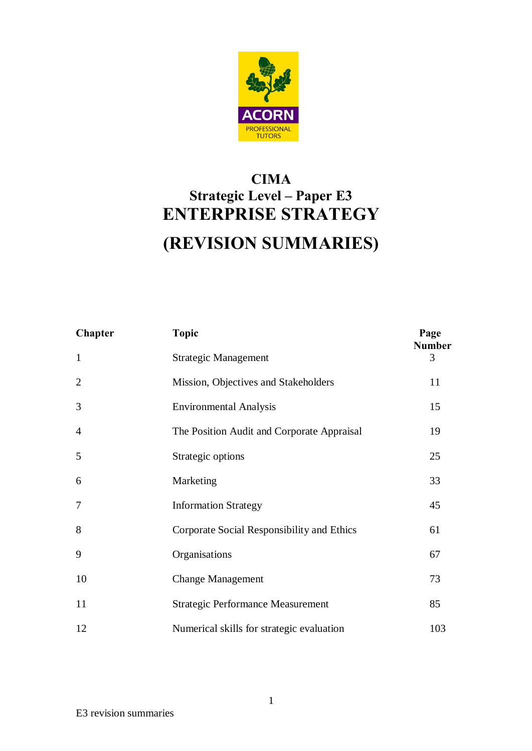

## **CIMA Strategic Level – Paper E3 ENTERPRISE STRATEGY (REVISION SUMMARIES)**

|                | <b>TUTORS</b>                                                                  |                       |
|----------------|--------------------------------------------------------------------------------|-----------------------|
|                | <b>CIMA</b><br><b>Strategic Level - Paper E3</b><br><b>ENTERPRISE STRATEGY</b> |                       |
|                | (REVISION SUMMARIES)                                                           |                       |
|                |                                                                                |                       |
| <b>Chapter</b> | <b>Topic</b>                                                                   | Page<br><b>Number</b> |
| $\mathbf{1}$   | <b>Strategic Management</b>                                                    | 3                     |
| $\overline{2}$ | Mission, Objectives and Stakeholders                                           | 11                    |
| 3              | <b>Environmental Analysis</b>                                                  | 15                    |
| $\overline{4}$ | The Position Audit and Corporate Appraisal                                     | 19                    |
| 5              | Strategic options                                                              | 25                    |
| 6              | Marketing                                                                      | 33                    |
| $\tau$         | <b>Information Strategy</b>                                                    | 45                    |
| 8              | Corporate Social Responsibility and Ethics                                     | 61                    |
| 9              | Organisations                                                                  | 67                    |
| 10             | <b>Change Management</b>                                                       | 73                    |
| 11             | <b>Strategic Performance Measurement</b>                                       | 85                    |
| 12             | Numerical skills for strategic evaluation                                      | 103                   |
|                |                                                                                |                       |
|                |                                                                                |                       |
|                | $\mathbf{1}$                                                                   |                       |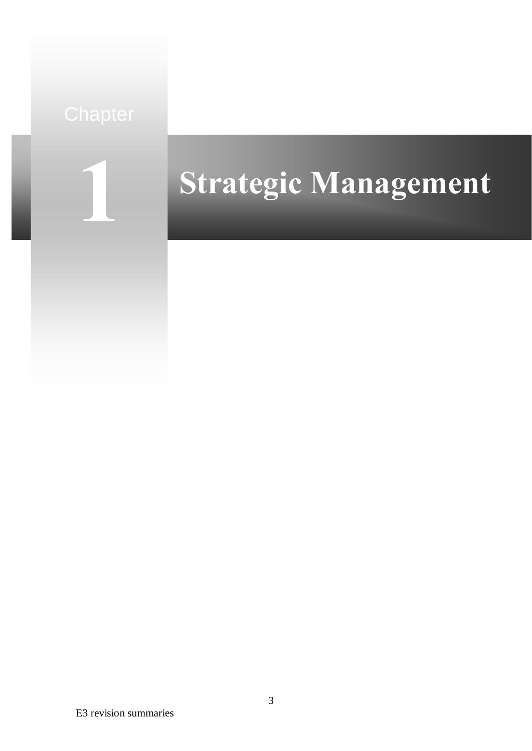

# **Strategic Management**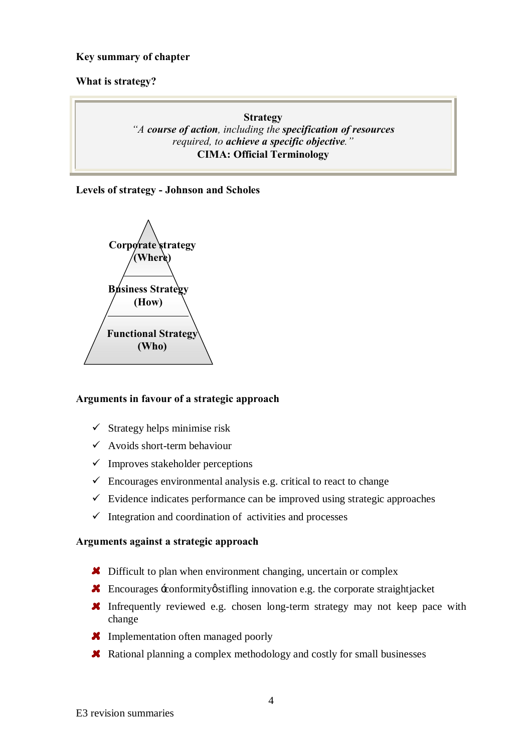#### **What is strategy?**

#### **Strategy**

#### *"A course of action, including the specification of resources required, to achieve a specific objective."* **CIMA: Official Terminology**

**Levels of strategy - Johnson and Scholes** 



#### **Arguments in favour of a strategic approach**

- $\checkmark$  Strategy helps minimise risk
- $\checkmark$  Avoids short-term behaviour
- $\checkmark$  Improves stakeholder perceptions
- $\checkmark$  Encourages environmental analysis e.g. critical to react to change
- $\checkmark$  Evidence indicates performance can be improved using strategic approaches
- $\checkmark$  Integration and coordination of activities and processes

#### **Arguments against a strategic approach**

- **X** Difficult to plan when environment changing, uncertain or complex
- **K** Encourages  $\pm$  conformity  $\phi$  stifling innovation e.g. the corporate straight jacket
- **X** Infrequently reviewed e.g. chosen long-term strategy may not keep pace with change
- **X** Implementation often managed poorly
- $\blacktriangleright$  Rational planning a complex methodology and costly for small businesses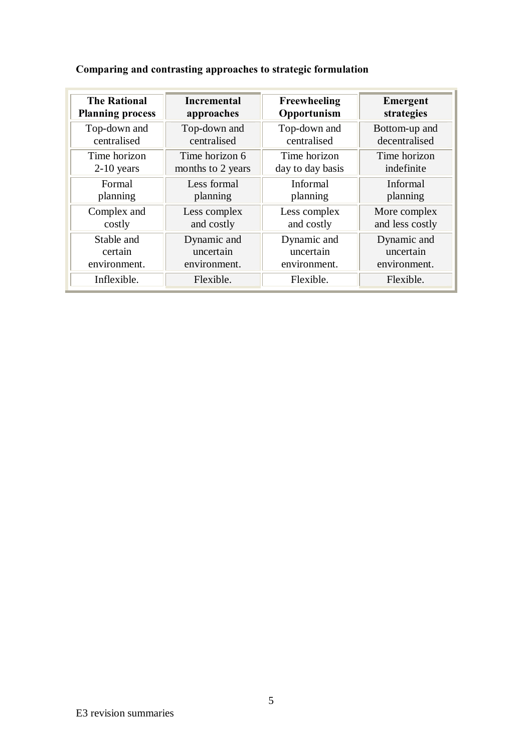#### Comparing and contrasting approaches to strategic formulation<br>
The Rational Incremental Treewheeling<br>
Top-down and<br>
Top-down and<br>
centralised<br>
The obvion incrementation<br>
2-10 years<br>
months to 2 years<br>
Top down and<br>
2-10 ye **The Rational Planning process Incremental approaches Freewheeling Opportunism Emergent strategies** Top-down and centralised Top-down and centralised Top-down and centralised Bottom-up and decentralised Time horizon 2-10 years Time horizon 6 months to 2 years Time horizon day to day basis Time horizon indefinite Formal planning Less formal planning Informal planning Informal planning Complex and costly Less complex and costly Less complex and costly More complex and less costly Stable and certain environment. Dynamic and uncertain environment. Dynamic and uncertain environment. Dynamic and uncertain environment. Inflexible. Flexible. Flexible. Flexible.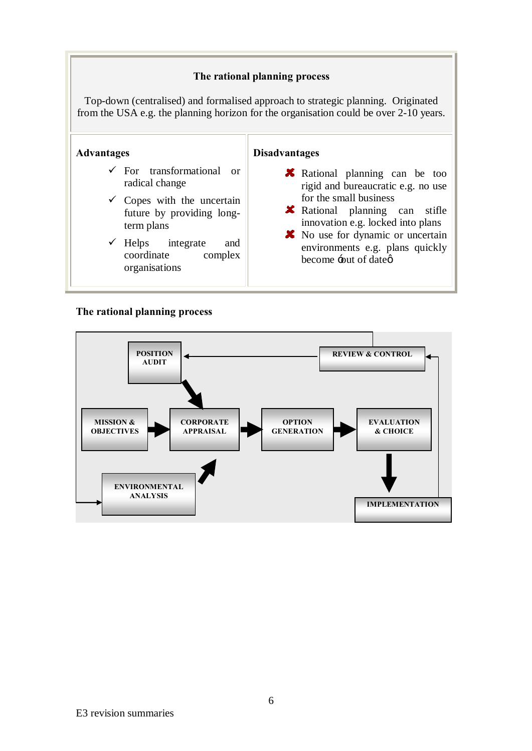Top-down (centralised) and formalised approach to strategic planning. Originated from the USA e.g. the planning horizon for the organisation could be over 2-10 years.

## **Advantages**   $\checkmark$  For transformational or radical change  $\checkmark$  Copes with the uncertain

- future by providing longterm plans
- $\checkmark$  Helps integrate and coordinate complex organisations

### **Disadvantages**

- **X** Rational planning can be too rigid and bureaucratic e.g. no use for the small business
- Rational planning can stifle innovation e.g. locked into plans
- **X** No use for dynamic or uncertain environments e.g. plans quickly become  $\div$ out of dateø



#### **The rational planning process**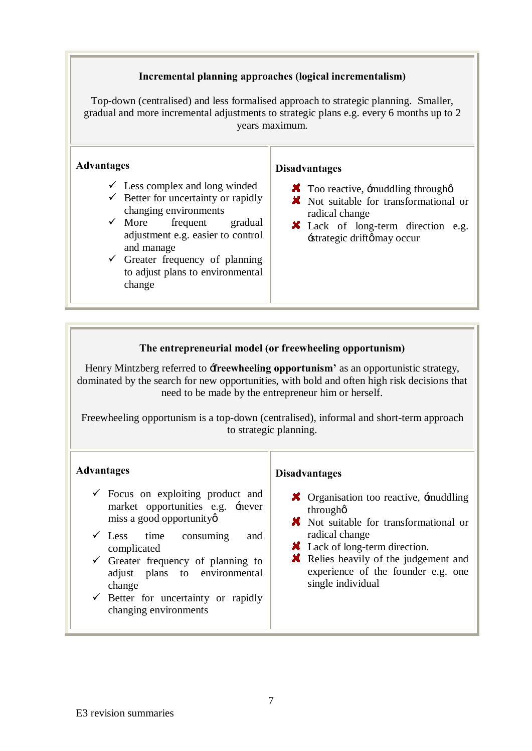**Incremental planning approaches (logical incrementalism)**<br> **Centralised)** and less formalised approach to strategic planning<br>
years maximum.<br> **Processions A K** Too reactive, smuddline<br>
re for uncertainty or rapidly<br> **Exam** Top-down (centralised) and less formalised approach to strategic planning. Smaller, gradual and more incremental adjustments to strategic plans e.g. every 6 months up to 2 years maximum.

#### **Advantages**

- $\checkmark$  Less complex and long winded
- $\checkmark$  Better for uncertainty or rapidly
- changing environments  $\checkmark$  More frequent frequent gradual adjustment e.g. easier to control and manage
- $\checkmark$  Greater frequency of planning to adjust plans to environmental change

#### **Disadvantages**

- $\boldsymbol{\times}$  Too reactive, -muddling through  $\phi$
- Not suitable for transformational or radical change
- Lack of long-term direction e.g.  $\pm$ strategic drift $\phi$  may occur

#### **The entrepreneurial model (or freewheeling opportunism)**

Henry Mintzberg referred to **freewheeling opportunism** as an opportunistic strategy, dominated by the search for new opportunities, with bold and often high risk decisions that need to be made by the entrepreneur him or herself.

Freewheeling opportunism is a top-down (centralised), informal and short-term approach to strategic planning.

#### **Advantages**

- $\checkmark$  Focus on exploiting product and market opportunities e.g. 'never miss a good opportunity
- $\checkmark$  Less time consuming and complicated
- $\checkmark$  Greater frequency of planning to adjust plans to environmental change
- $\checkmark$  Better for uncertainty or rapidly changing environments

#### **Disadvantages**

- $\boldsymbol{\times}$  Organisation too reactive,  $\boldsymbol{\div}$  muddling through'
- **X** Not suitable for transformational or radical change
- **X** Lack of long-term direction.
- Relies heavily of the judgement and experience of the founder e.g. one single individual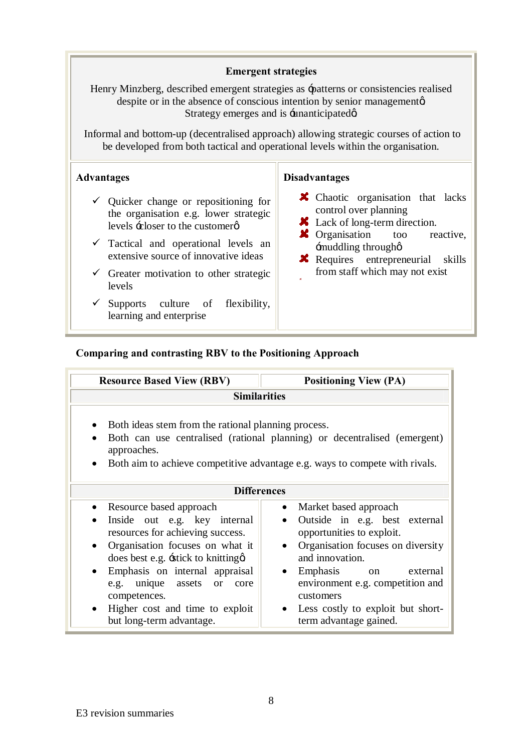#### **Emergent strategies**

#### **Advantages**

- $\checkmark$  Quicker change or repositioning for the organisation e.g. lower strategic levels  $\div$ closer to the customer $\varphi$
- $\checkmark$  Tactical and operational levels an extensive source of innovative ideas
- $\checkmark$  Greater motivation to other strategic levels
- $\checkmark$  Supports culture of flexibility, learning and enterprise

#### **Disadvantages**

- **X** Chaotic organisation that lacks control over planning
- **X** Lack of long-term direction.
- **X** Organisation too reactive, 'muddling through'
- **x** Requires entrepreneurial skills from staff which may not exist

#### **Comparing and contrasting RBV to the Positioning Approach**

| <b>Emergent strategies</b>                                                                                                                                                                                                                                                                                                              |                                                                                                                                                                                                                                                                                                                     |
|-----------------------------------------------------------------------------------------------------------------------------------------------------------------------------------------------------------------------------------------------------------------------------------------------------------------------------------------|---------------------------------------------------------------------------------------------------------------------------------------------------------------------------------------------------------------------------------------------------------------------------------------------------------------------|
| Henry Minzberg, described emergent strategies as -patterns or consistencies realised<br>despite or in the absence of conscious intention by senior managemental<br>Strategy emerges and is -unanticipatedø                                                                                                                              |                                                                                                                                                                                                                                                                                                                     |
| Informal and bottom-up (decentralised approach) allowing strategic courses of action<br>be developed from both tactical and operational levels within the organisation.                                                                                                                                                                 |                                                                                                                                                                                                                                                                                                                     |
| <b>Advantages</b>                                                                                                                                                                                                                                                                                                                       | <b>Disadvantages</b>                                                                                                                                                                                                                                                                                                |
| $\checkmark$ Quicker change or repositioning for<br>the organisation e.g. lower strategic<br>levels ÷ closer to the customer ø                                                                                                                                                                                                          | <b>X</b> Chaotic organisation that la<br>control over planning<br>Lack of long-term direction.                                                                                                                                                                                                                      |
| $\checkmark$ Tactical and operational levels an<br>extensive source of innovative ideas                                                                                                                                                                                                                                                 | $\blacktriangleright$ Organisation<br>too<br>react<br>-muddling throughø<br><b>X</b> Requires entrepreneurial sk                                                                                                                                                                                                    |
| $\checkmark$ Greater motivation to other strategic<br>levels                                                                                                                                                                                                                                                                            | from staff which may not exist                                                                                                                                                                                                                                                                                      |
| Supports culture of<br>$\checkmark$<br>flexibility,<br>learning and enterprise                                                                                                                                                                                                                                                          |                                                                                                                                                                                                                                                                                                                     |
| Comparing and contrasting RBV to the Positioning Approach                                                                                                                                                                                                                                                                               |                                                                                                                                                                                                                                                                                                                     |
| <b>Resource Based View (RBV)</b>                                                                                                                                                                                                                                                                                                        | <b>Positioning View (PA)</b>                                                                                                                                                                                                                                                                                        |
| <b>Similarities</b>                                                                                                                                                                                                                                                                                                                     |                                                                                                                                                                                                                                                                                                                     |
| Both ideas stem from the rational planning process.<br>$\bullet$<br>approaches.<br>Both aim to achieve competitive advantage e.g. ways to compete with rivals.                                                                                                                                                                          | Both can use centralised (rational planning) or decentralised (emergent)                                                                                                                                                                                                                                            |
| <b>Differences</b>                                                                                                                                                                                                                                                                                                                      |                                                                                                                                                                                                                                                                                                                     |
| Resource based approach<br>Inside out e.g. key internal<br>resources for achieving success.<br>Organisation focuses on what it<br>does best e.g. -stick to knitting a<br>Emphasis on internal appraisal<br>unique<br>assets<br>e.g.<br><b>or</b><br>core<br>competences.<br>Higher cost and time to exploit<br>but long-term advantage. | Market based approach<br>Outside in e.g. best external<br>$\bullet$<br>opportunities to exploit.<br>Organisation focuses on diversity<br>$\bullet$<br>and innovation.<br>Emphasis<br>external<br>on<br>environment e.g. competition and<br>customers<br>Less costly to exploit but short-<br>term advantage gained. |
|                                                                                                                                                                                                                                                                                                                                         |                                                                                                                                                                                                                                                                                                                     |
| 8                                                                                                                                                                                                                                                                                                                                       |                                                                                                                                                                                                                                                                                                                     |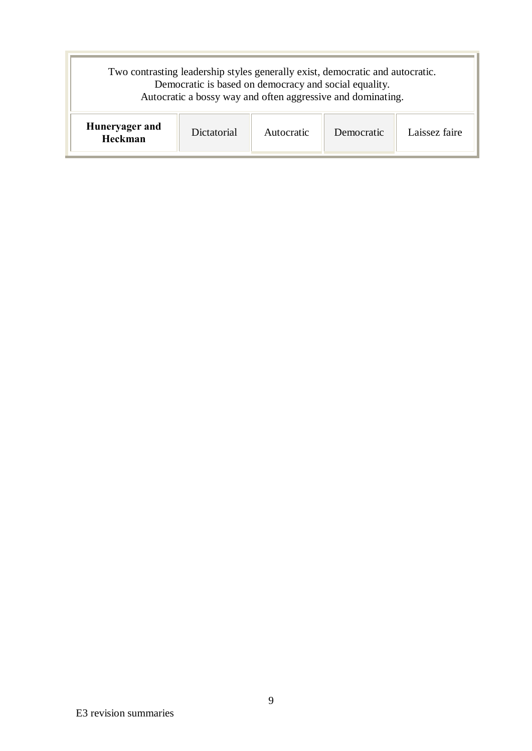|                           |             | Democratic is based on democracy and social equality. | Two contrasting leadership styles generally exist, democratic and autocratic.<br>Autocratic a bossy way and often aggressive and dominating. |               |
|---------------------------|-------------|-------------------------------------------------------|----------------------------------------------------------------------------------------------------------------------------------------------|---------------|
| Huneryager and<br>Heckman | Dictatorial | Autocratic                                            | Democratic                                                                                                                                   | Laissez faire |
|                           |             |                                                       |                                                                                                                                              |               |
|                           |             |                                                       |                                                                                                                                              |               |
|                           |             |                                                       |                                                                                                                                              |               |
|                           |             |                                                       |                                                                                                                                              |               |
|                           |             |                                                       |                                                                                                                                              |               |
|                           |             |                                                       |                                                                                                                                              |               |
|                           |             |                                                       |                                                                                                                                              |               |
|                           |             |                                                       |                                                                                                                                              |               |
|                           |             |                                                       |                                                                                                                                              |               |
|                           |             |                                                       |                                                                                                                                              |               |
|                           |             |                                                       |                                                                                                                                              |               |
|                           |             |                                                       |                                                                                                                                              |               |
|                           |             |                                                       |                                                                                                                                              |               |
|                           |             |                                                       |                                                                                                                                              |               |
|                           |             | $\mathbf{9}$                                          |                                                                                                                                              |               |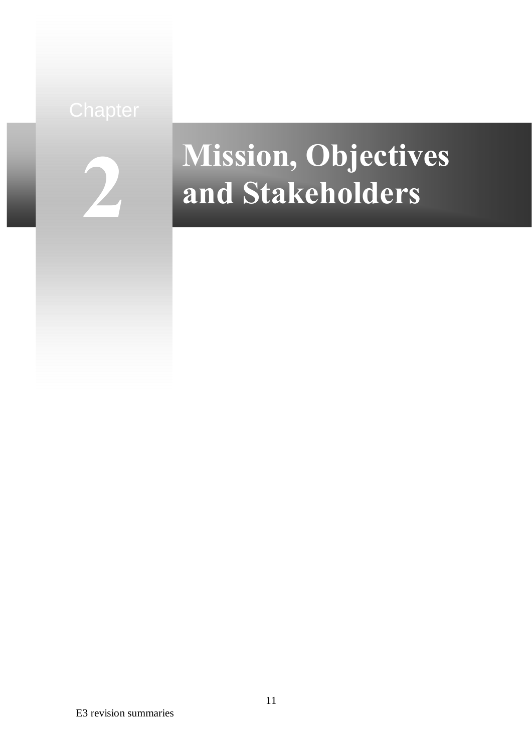

## **Mission, Objectives and Stakeholders**

E3 revision summaries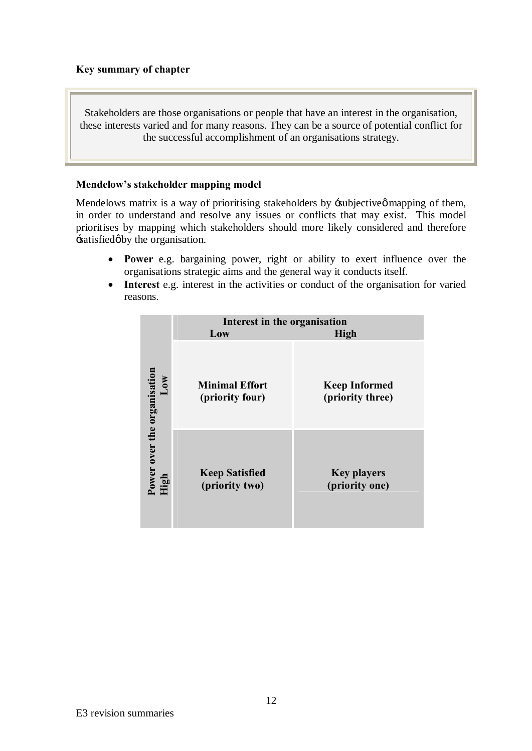Stakeholders are those organisations or people that have an interest in the organisation, these interests varied and for many reasons. They can be a source of potential conflict for the successful accomplishment of an organisations strategy.

#### **Mendelow's stakeholder mapping model**

Mendelows matrix is a way of prioritising stakeholders by  $\equiv$  subjective  $\varphi$  mapping of them, in order to understand and resolve any issues or conflicts that may exist. This model prioritises by mapping which stakeholders should more likely considered and therefore -satisfied  $\phi$  by the organisation.

- · **Power** e.g. bargaining power, right or ability to exert influence over the organisations strategic aims and the general way it conducts itself.
- · **Interest** e.g. interest in the activities or conduct of the organisation for varied reasons.

|                                     | Interest in the organisation             |                                          |
|-------------------------------------|------------------------------------------|------------------------------------------|
|                                     | Low                                      | High                                     |
| MOV                                 | <b>Minimal Effort</b><br>(priority four) | <b>Keep Informed</b><br>(priority three) |
| Power over the organisation<br>High | <b>Keep Satisfied</b><br>(priority two)  | <b>Key players</b><br>(priority one)     |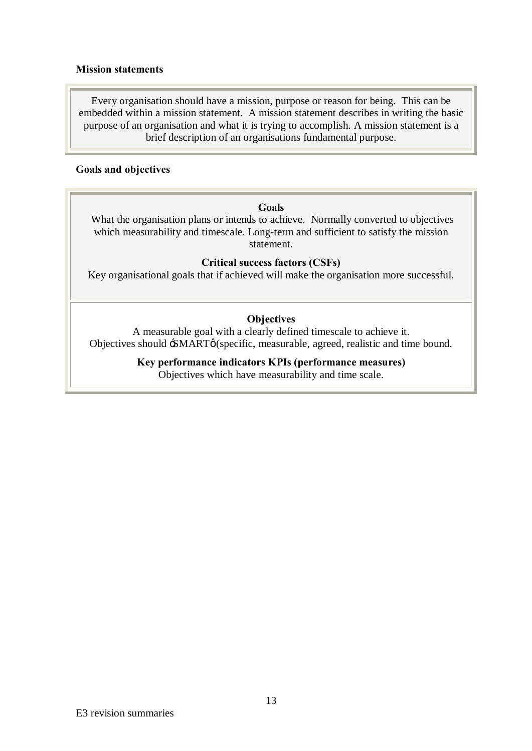#### **Mission statements**

Every organisation should have a mission, purpose or reason for being. This can be embedded within a mission statement. A mission statement describes in writing the basic purpose of an organisation and what it is trying to accomplish. A mission statement is a brief description of an organisations fundamental purpose.

#### **Goals and objectives**

#### **Goals**

 What the organisation plans or intends to achieve. Normally converted to objectives which measurability and timescale. Long-term and sufficient to satisfy the mission statement.

#### **Critical success factors (CSFs)**

Key organisational goals that if achieved will make the organisation more successful.

#### **Objectives**

A measurable goal with a clearly defined timescale to achieve it. Objectives should  $\div$ SMART $\phi$ (specific, measurable, agreed, realistic and time bound.

#### **Key performance indicators KPIs (performance measures)**

Objectives which have measurability and time scale.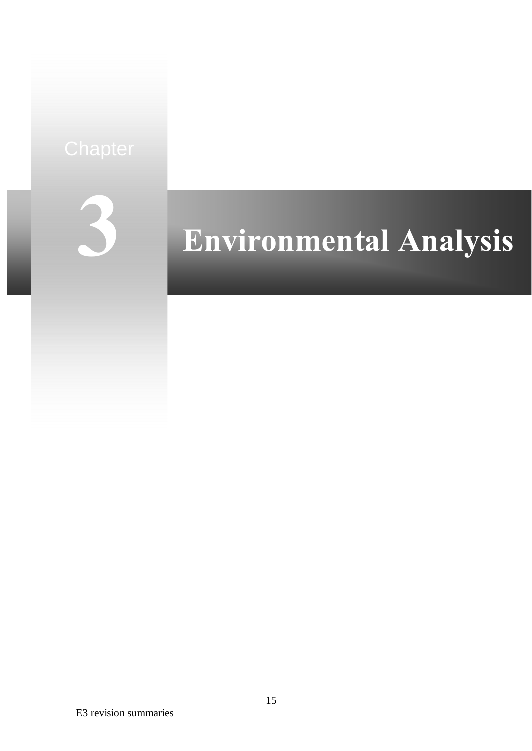

# **Environmental Analysis**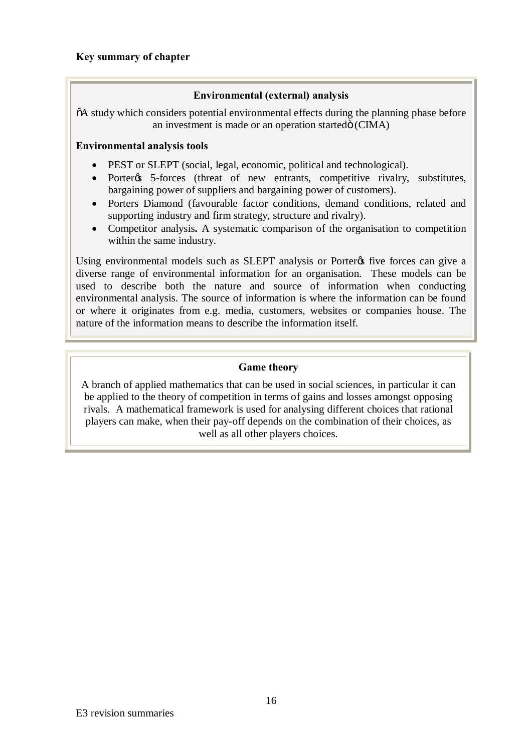#### **Environmental (external) analysis**

 $\delta$ A study which considers potential environmental effects during the planning phase before an investment is made or an operation started $\ddot{\text{o}}$  (CIMA)

#### **Environmental analysis tools**

- PEST or SLEPT (social, legal, economic, political and technological).
- Porter<sub>%</sub> 5-forces (threat of new entrants, competitive rivalry, substitutes, bargaining power of suppliers and bargaining power of customers).
- Porters Diamond (favourable factor conditions, demand conditions, related and supporting industry and firm strategy, structure and rivalry).
- · Competitor analysis**.** A systematic comparison of the organisation to competition within the same industry.

Using environmental models such as SLEPT analysis or Porter $\alpha$  five forces can give a diverse range of environmental information for an organisation. These models can be used to describe both the nature and source of information when conducting environmental analysis. The source of information is where the information can be found or where it originates from e.g. media, customers, websites or companies house. The nature of the information means to describe the information itself.

#### **Game theory**

A branch of applied mathematics that can be used in social sciences, in particular it can be applied to the theory of competition in terms of gains and losses amongst opposing rivals. A mathematical framework is used for analysing different choices that rational players can make, when their pay-off depends on the combination of their choices, as well as all other players choices.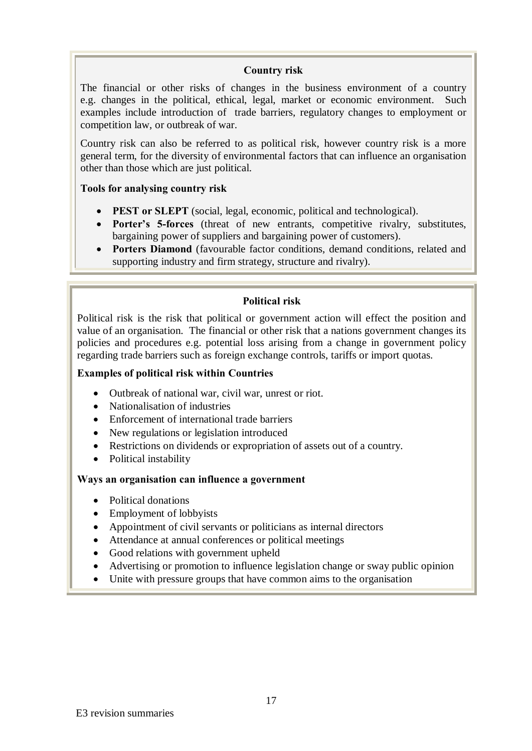#### **Country risk**

The financial or other risks of changes in the business environment of a country e.g. changes in the political, ethical, legal, market or economic environment. Such examples include introduction of trade barriers, regulatory changes to employment or competition law, or outbreak of war.

Country risk can also be referred to as political risk, however country risk is a more general term, for the diversity of environmental factors that can influence an organisation other than those which are just political.

#### **Tools for analysing country risk**

- · **PEST or SLEPT** (social, legal, economic, political and technological).
- · **Porter's 5-forces** (threat of new entrants, competitive rivalry, substitutes, bargaining power of suppliers and bargaining power of customers).
- · **Porters Diamond** (favourable factor conditions, demand conditions, related and supporting industry and firm strategy, structure and rivalry).

#### **Political risk**

Political risk is the risk that political or government action will effect the position and value of an organisation. The financial or other risk that a nations government changes its policies and procedures e.g. potential loss arising from a change in government policy regarding trade barriers such as foreign exchange controls, tariffs or import quotas.

#### **Examples of political risk within Countries**

- · Outbreak of national war, civil war, unrest or riot.
- Nationalisation of industries
- · Enforcement of international trade barriers
- New regulations or legislation introduced
- · Restrictions on dividends or expropriation of assets out of a country.
- Political instability

#### **Ways an organisation can influence a government**

- Political donations
- Employment of lobbyists
- · Appointment of civil servants or politicians as internal directors
- · Attendance at annual conferences or political meetings
- Good relations with government upheld
- · Advertising or promotion to influence legislation change or sway public opinion
- Unite with pressure groups that have common aims to the organisation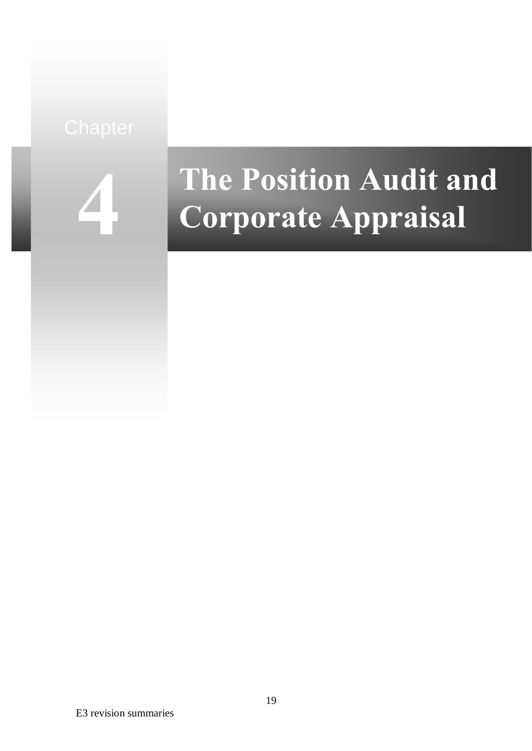

# **The Position Audit and Corporate Appraisal**

E3 revision summaries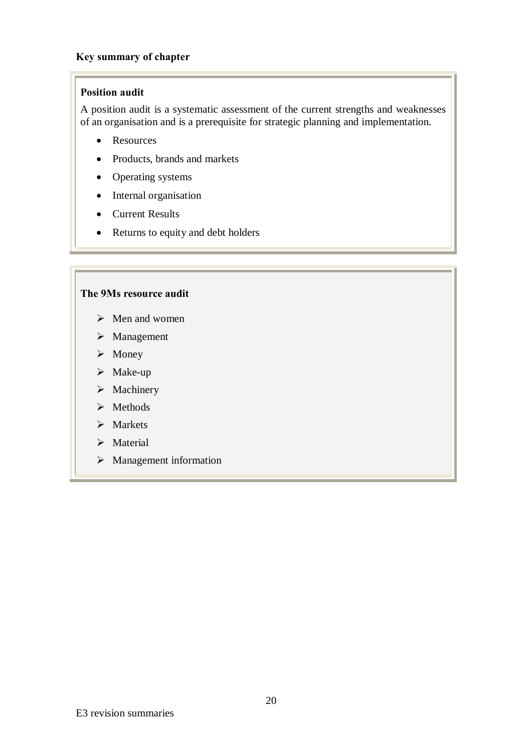#### **Key summary of chapter**

#### **Position audit**

A position audit is a systematic assessment of the current strengths and weaknesses of an organisation and is a prerequisite for strategic planning and implementation.

- · Resources
- · Products, brands and markets
- Operating systems
- Internal organisation
- Current Results
- Returns to equity and debt holders

#### **The 9Ms resource audit**

- $\triangleright$  Men and women
- $\triangleright$  Management
- $\triangleright$  Money
- $\triangleright$  Make-up
- $\triangleright$  Machinery
- $\triangleright$  Methods
- $\triangleright$  Markets
- > Material
- $\triangleright$  Management information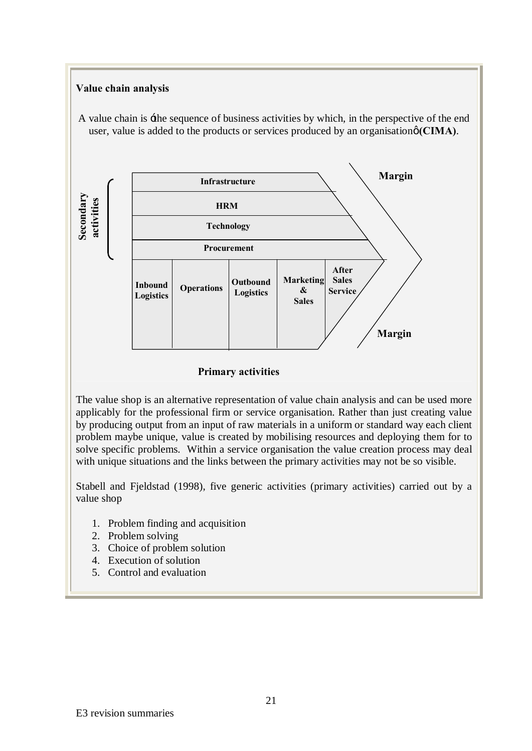

#### **Primary activities**

The value shop is an alternative representation of value chain analysis and can be used more applicably for the professional firm or service organisation. Rather than just creating value by producing output from an input of raw materials in a uniform or standard way each client problem maybe unique, value is created by mobilising resources and deploying them for to solve specific problems. Within a service organisation the value creation process may deal with unique situations and the links between the primary activities may not be so visible.

Stabell and Fjeldstad (1998), five generic activities (primary activities) carried out by a value shop

- 1. Problem finding and acquisition
- 2. Problem solving
- 3. Choice of problem solution
- 4. Execution of solution
- 5. Control and evaluation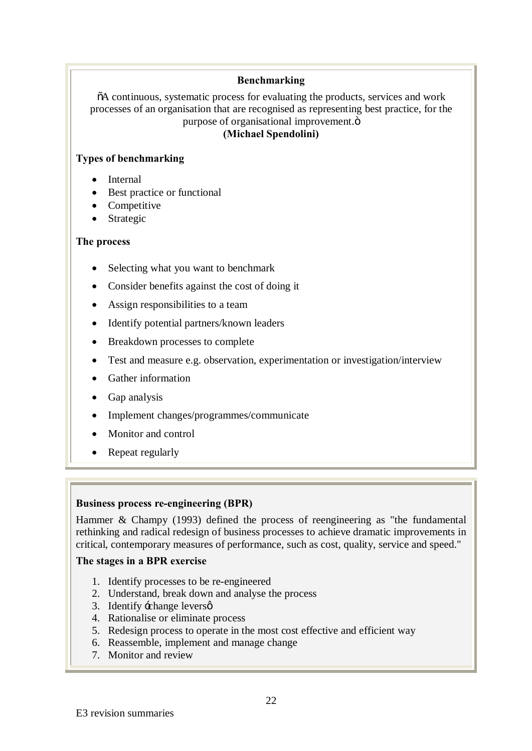#### **Benchmarking**

 $\delta A$  continuous, systematic process for evaluating the products, services and work processes of an organisation that are recognised as representing best practice, for the purpose of organisational improvement. $\ddot{o}$ **(Michael Spendolini)**

#### **Types of benchmarking**

- Internal
- · Best practice or functional
- Competitive
- Strategic

#### **The process**

- Selecting what you want to benchmark
- Consider benefits against the cost of doing it
- Assign responsibilities to a team
- Identify potential partners/known leaders
- · Breakdown processes to complete
- · Test and measure e.g. observation, experimentation or investigation/interview
- Gather information
- Gap analysis
- · Implement changes/programmes/communicate
- Monitor and control
- Repeat regularly

#### **Business process re-engineering (BPR)**

Hammer & Champy (1993) defined the process of reengineering as "the fundamental rethinking and radical redesign of business processes to achieve dramatic improvements in critical, contemporary measures of performance, such as cost, quality, service and speed."

#### **The stages in a BPR exercise**

- 1. Identify processes to be re-engineered
- 2. Understand, break down and analyse the process
- 3. Identify  $\div$ change levers $\phi$
- 4. Rationalise or eliminate process
- 5. Redesign process to operate in the most cost effective and efficient way
- 6. Reassemble, implement and manage change
- 7. Monitor and review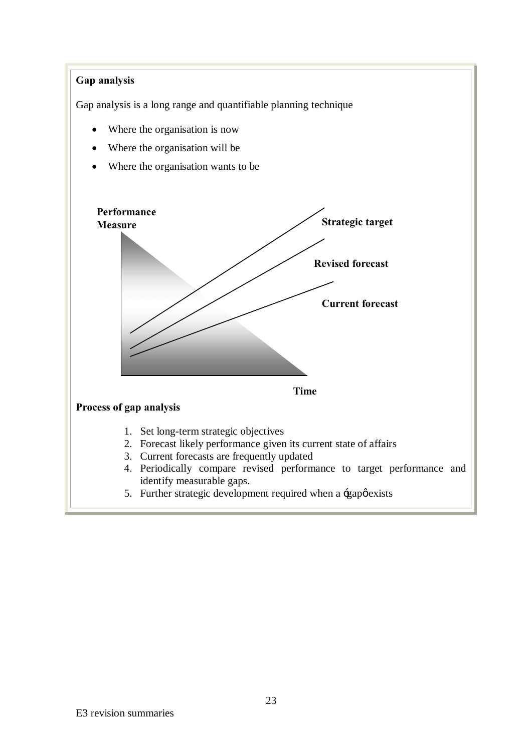#### **Gap analysis**

Gap analysis is a long range and quantifiable planning technique

- Where the organisation is now
- Where the organisation will be
- Where the organisation wants to be



5. Further strategic development required when a  $\div$ gap $\phi$  exists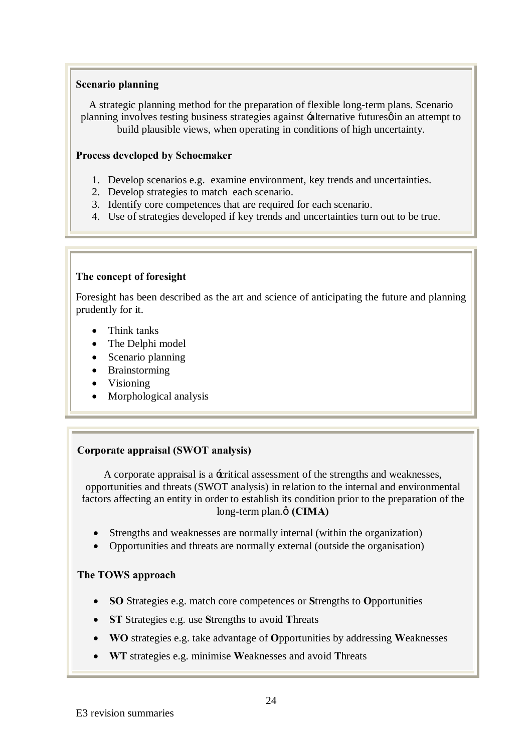#### **Scenario planning**

A strategic planning method for the preparation of flexible long-term plans. Scenario planning involves testing business strategies against -alternative futures on an attempt to build plausible views, when operating in conditions of high uncertainty.

#### **Process developed by Schoemaker**

- 1. Develop scenarios e.g. examine environment, key trends and uncertainties.
- 2. Develop strategies to match each scenario.
- 3. Identify core competences that are required for each scenario.
- 4. Use of strategies developed if key trends and uncertainties turn out to be true.

#### **The concept of foresight**

Foresight has been described as the art and science of anticipating the future and planning prudently for it.

- Think tanks
- The Delphi model
- Scenario planning
- · Brainstorming
- Visioning
- Morphological analysis

## **Corporate appraisal (SWOT analysis)**

A corporate appraisal is a 'critical assessment of the strengths and weaknesses, opportunities and threats (SWOT analysis) in relation to the internal and environmental factors affecting an entity in order to establish its condition prior to the preparation of the long-term plan. $\phi$  (CIMA)

- Strengths and weaknesses are normally internal (within the organization)
- Opportunities and threats are normally external (outside the organisation)

#### **The TOWS approach**

- · **SO** Strategies e.g. match core competences or **S**trengths to **O**pportunities
- · **ST** Strategies e.g. use **S**trengths to avoid **T**hreats
- · **WO** strategies e.g. take advantage of **O**pportunities by addressing **W**eaknesses
- · **WT** strategies e.g. minimise **W**eaknesses and avoid **T**hreats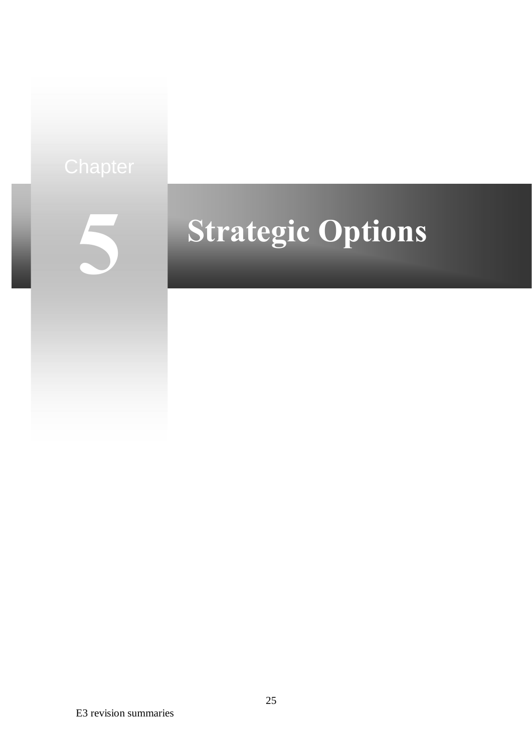

# **Strategic Options**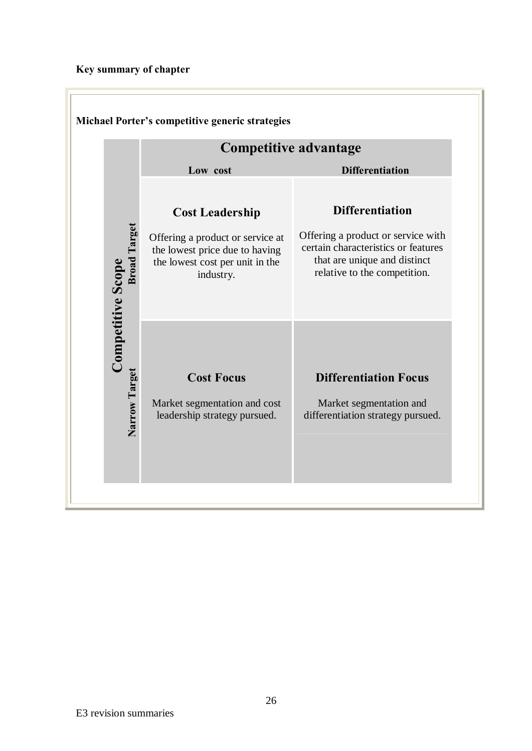## **Key summary of chapter**

|                                                 | <b>Competitive advantage</b>                                                                                                                 |                                                                                                                                                                     |
|-------------------------------------------------|----------------------------------------------------------------------------------------------------------------------------------------------|---------------------------------------------------------------------------------------------------------------------------------------------------------------------|
|                                                 | Low cost                                                                                                                                     | <b>Differentiation</b>                                                                                                                                              |
| <b>Broad Target</b><br><b>Competitive Scope</b> | <b>Cost Leadership</b><br>Offering a product or service at<br>the lowest price due to having<br>the lowest cost per unit in the<br>industry. | <b>Differentiation</b><br>Offering a product or service with<br>certain characteristics or features<br>that are unique and distinct<br>relative to the competition. |
| Narrow Target                                   | <b>Cost Focus</b><br>Market segmentation and cost<br>leadership strategy pursued.                                                            | <b>Differentiation Focus</b><br>Market segmentation and<br>differentiation strategy pursued.                                                                        |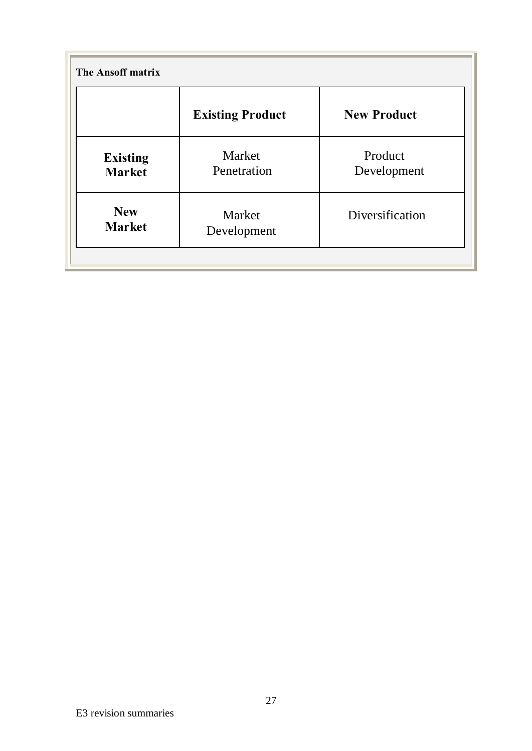| <b>The Ansoff matrix</b>                             |                         |                        |
|------------------------------------------------------|-------------------------|------------------------|
|                                                      | <b>Existing Product</b> | <b>New Product</b>     |
| <b>Existing</b><br><b>Market</b>                     | Market<br>Penetration   | Product<br>Development |
| <b>New</b><br>Market<br><b>Market</b><br>Development |                         | Diversification        |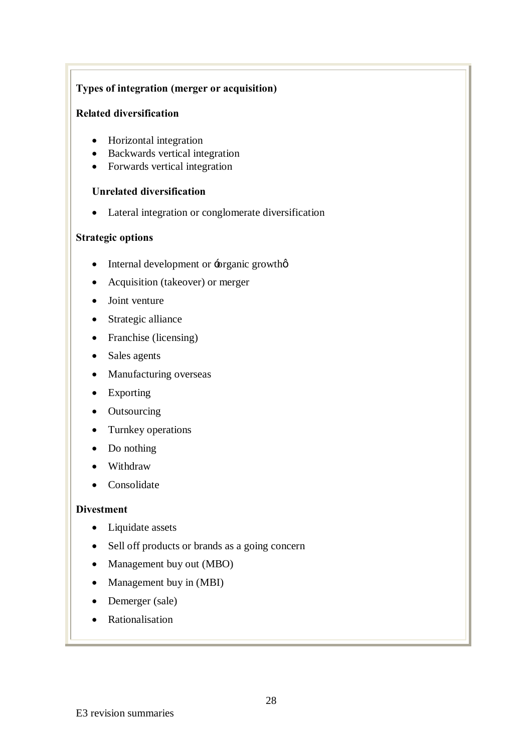#### **Types of integration (merger or acquisition)**

#### **Related diversification**

- Horizontal integration
- · Backwards vertical integration
- Forwards vertical integration

#### **Unrelated diversification**

• Lateral integration or conglomerate diversification

#### **Strategic options**

- Internal development or -organic growthø
- Acquisition (takeover) or merger
- Joint venture
- Strategic alliance
- Franchise (licensing)
- Sales agents
- · Manufacturing overseas
- · Exporting
- · Outsourcing
- · Turnkey operations
- Do nothing
- · Withdraw
- · Consolidate

#### **Divestment**

- Liquidate assets
- Sell off products or brands as a going concern
- Management buy out (MBO)
- Management buy in (MBI)
- Demerger (sale)
- Rationalisation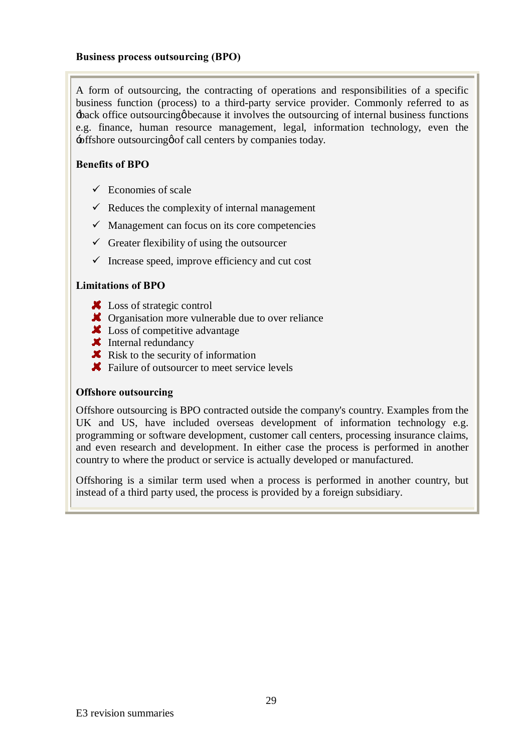A form of outsourcing, the contracting of operations and responsibilities of a specific business function (process) to a third-party service provider. Commonly referred to as  $\pm$ back office outsourcing because it involves the outsourcing of internal business functions e.g. finance, human resource management, legal, information technology, even the  $\div$ offshore outsourcing  $\phi$  of call centers by companies today.

#### **Benefits of BPO**

- $\checkmark$  Economies of scale
- $\checkmark$  Reduces the complexity of internal management
- $\checkmark$  Management can focus on its core competencies
- $\checkmark$  Greater flexibility of using the outsourcer
- $\checkmark$  Increase speed, improve efficiency and cut cost

#### **Limitations of BPO**

- **X** Loss of strategic control
- **X** Organisation more vulnerable due to over reliance
- **X** Loss of competitive advantage
- $\blacktriangleright$  Internal redundancy
- $\blacktriangleright$  Risk to the security of information
- **X** Failure of outsourcer to meet service levels

#### **Offshore outsourcing**

Offshore outsourcing is BPO contracted outside the company's country. Examples from the UK and US, have included overseas development of information technology e.g. programming or software development, customer call centers, processing insurance claims, and even research and development. In either case the process is performed in another country to where the product or service is actually developed or manufactured.

Offshoring is a similar term used when a process is performed in another country, but instead of a third party used, the process is provided by a foreign subsidiary.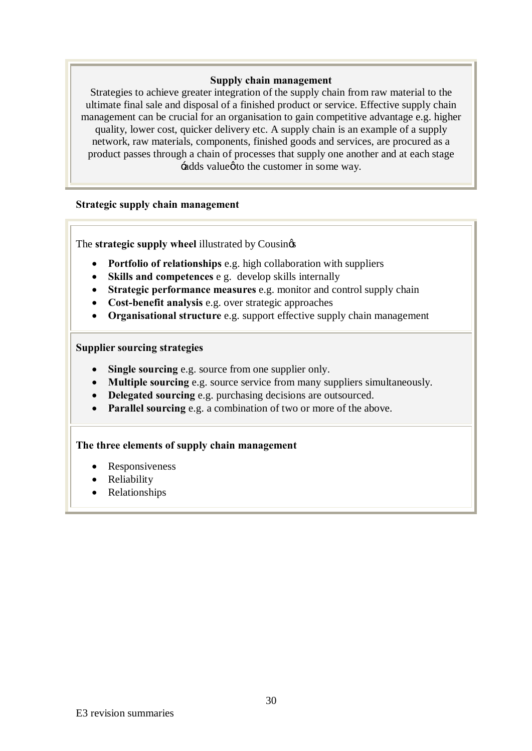#### **Supply chain management**

Strategies to achieve greater integration of the supply chain from raw material to the ultimate final sale and disposal of a finished product or service. Effective supply chain management can be crucial for an organisation to gain competitive advantage e.g. higher quality, lower cost, quicker delivery etc. A supply chain is an example of a supply network, raw materials, components, finished goods and services, are procured as a product passes through a chain of processes that supply one another and at each stage  $\div$ adds value $\phi$  to the customer in some way.

#### **Strategic supply chain management**

The **strategic supply wheel** illustrated by Cousings

- · **Portfolio of relationships** e.g. high collaboration with suppliers
- · **Skills and competences** e g. develop skills internally
- · **Strategic performance measures** e.g. monitor and control supply chain
- · **Cost-benefit analysis** e.g. over strategic approaches
- · **Organisational structure** e.g. support effective supply chain management

#### **Supplier sourcing strategies**

- · **Single sourcing** e.g. source from one supplier only.
- · **Multiple sourcing** e.g. source service from many suppliers simultaneously.
- · **Delegated sourcing** e.g. purchasing decisions are outsourced.
- · **Parallel sourcing** e.g. a combination of two or more of the above.

#### **The three elements of supply chain management**

- Responsiveness
- · Reliability
- · Relationships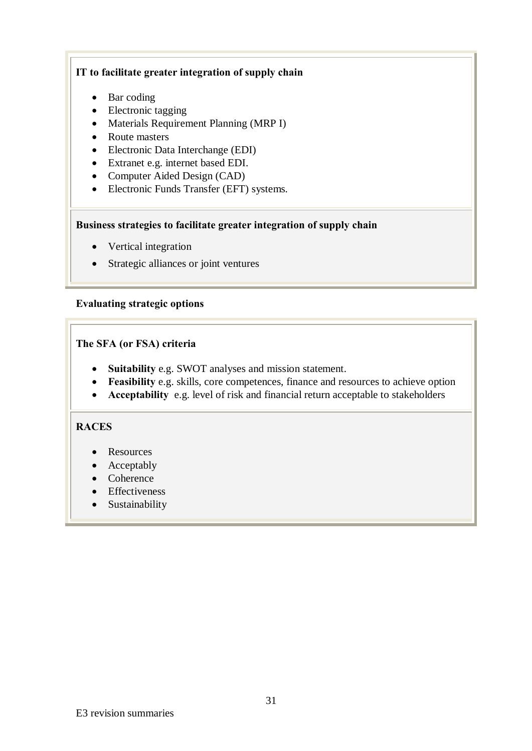#### **IT to facilitate greater integration of supply chain**

- Bar coding
- Electronic tagging
- Materials Requirement Planning (MRP I)
- Route masters
- · Electronic Data Interchange (EDI)
- · Extranet e.g. internet based EDI.
- Computer Aided Design (CAD)
- · Electronic Funds Transfer (EFT) systems.

#### **Business strategies to facilitate greater integration of supply chain**

- Vertical integration
- · Strategic alliances or joint ventures

#### **Evaluating strategic options**

#### **The SFA (or FSA) criteria**

- · **Suitability** e.g. SWOT analyses and mission statement.
- · **Feasibility** e.g. skills, core competences, finance and resources to achieve option
- · **Acceptability** e.g. level of risk and financial return acceptable to stakeholders

#### **RACES**

- Resources
- Acceptably
- Coherence
- · Effectiveness
- Sustainability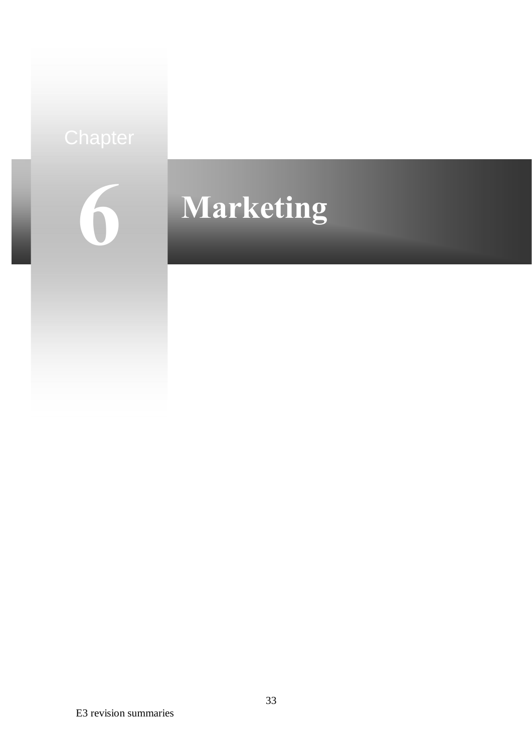# **6**

# **Marketing**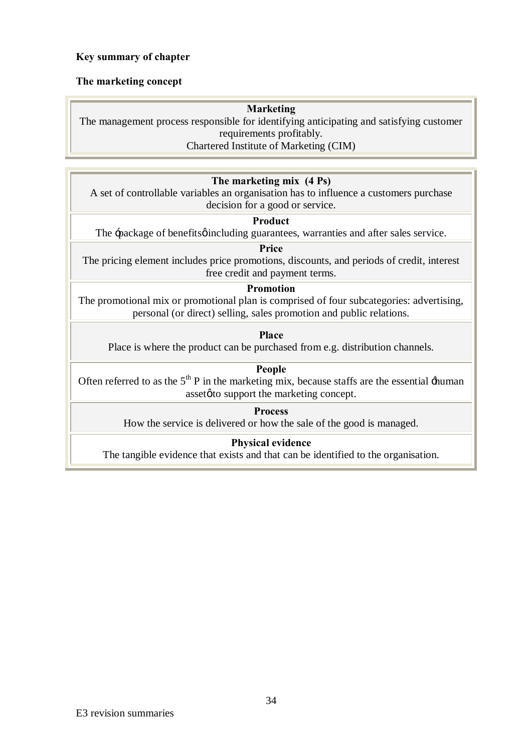#### **Key summary of chapter**

#### **The marketing concept**

#### **Marketing**

The management process responsible for identifying anticipating and satisfying customer requirements profitably. Chartered Institute of Marketing (CIM)

## **The marketing mix (4 Ps)**

A set of controllable variables an organisation has to influence a customers purchase decision for a good or service.

#### **Product**

The  $\exists$ package of benefits including guarantees, warranties and after sales service.

**Price**

The pricing element includes price promotions, discounts, and periods of credit, interest free credit and payment terms.

#### **Promotion**

The promotional mix or promotional plan is comprised of four subcategories: advertising, personal (or direct) selling, sales promotion and public relations.

#### **Place**

Place is where the product can be purchased from e.g. distribution channels.

#### **People**

Often referred to as the  $5<sup>th</sup>$  P in the marketing mix, because staffs are the essential  $\pm$ human asset $\phi$  to support the marketing concept.

**Process**

How the service is delivered or how the sale of the good is managed.

#### **Physical evidence**

The tangible evidence that exists and that can be identified to the organisation.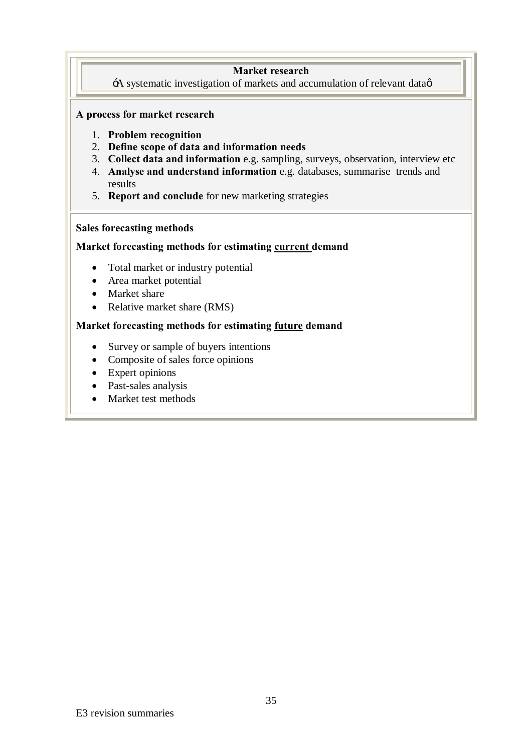#### **Market research**

 $\overrightarrow{A}$  systematic investigation of markets and accumulation of relevant data $\phi$ 

#### **A process for market research**

- 1. **Problem recognition**
- 2. **Define scope of data and information needs**
- 3. **Collect data and information** e.g. sampling, surveys, observation, interview etc
- 4. **Analyse and understand information** e.g. databases, summarise trends and results
- 5. **Report and conclude** for new marketing strategies

#### **Sales forecasting methods**

#### **Market forecasting methods for estimating current demand**

- Total market or industry potential
- Area market potential
- Market share
- Relative market share (RMS)

#### **Market forecasting methods for estimating future demand**

- Survey or sample of buyers intentions
- Composite of sales force opinions
- Expert opinions
- · Past-sales analysis
- Market test methods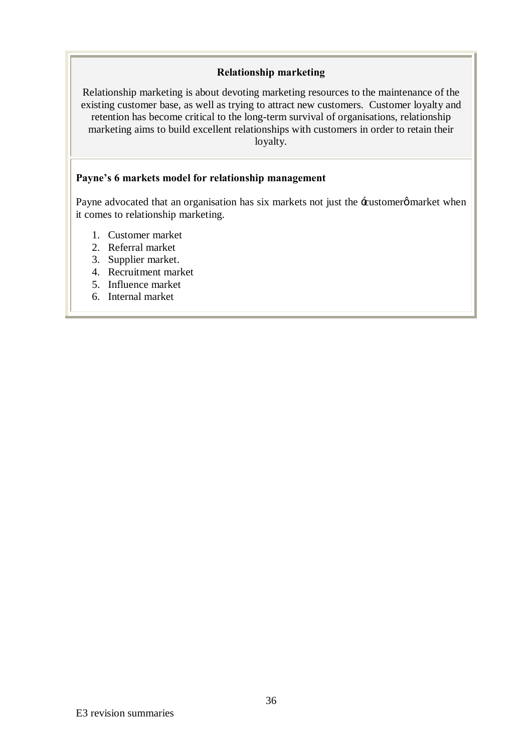#### **Relationship marketing**

Relationship marketing is about devoting marketing resources to the maintenance of the existing customer base, as well as trying to attract new customers. Customer loyalty and retention has become critical to the long-term survival of organisations, relationship marketing aims to build excellent relationships with customers in order to retain their loyalty.

#### **Payne's 6 markets model for relationship management**

Payne advocated that an organisation has six markets not just the -eustomerg market when it comes to relationship marketing.

- 1. Customer market
- 2. Referral market
- 3. Supplier market.
- 4. Recruitment market
- 5. Influence market
- 6. Internal market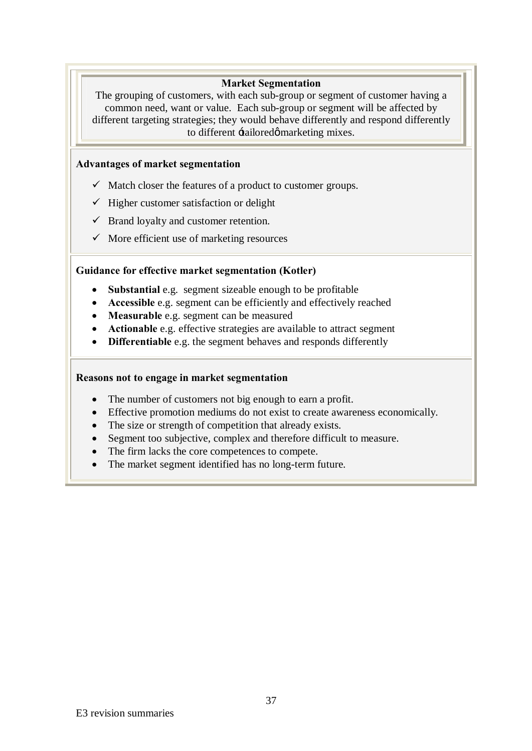### **Market Segmentation**

The grouping of customers, with each sub-group or segment of customer having a common need, want or value. Each sub-group or segment will be affected by different targeting strategies; they would behave differently and respond differently to different  $\pm$ ailoredø marketing mixes.

### **Advantages of market segmentation**

- $\checkmark$  Match closer the features of a product to customer groups.
- $\checkmark$  Higher customer satisfaction or delight
- $\checkmark$  Brand loyalty and customer retention.
- $\checkmark$  More efficient use of marketing resources

### **Guidance for effective market segmentation (Kotler)**

- · **Substantial** e.g. segment sizeable enough to be profitable
- · **Accessible** e.g. segment can be efficiently and effectively reached
- · **Measurable** e.g. segment can be measured
- · **Actionable** e.g. effective strategies are available to attract segment
- · **Differentiable** e.g. the segment behaves and responds differently

### **Reasons not to engage in market segmentation**

- The number of customers not big enough to earn a profit.
- · Effective promotion mediums do not exist to create awareness economically.
- The size or strength of competition that already exists.
- Segment too subjective, complex and therefore difficult to measure.
- · The firm lacks the core competences to compete.
- The market segment identified has no long-term future.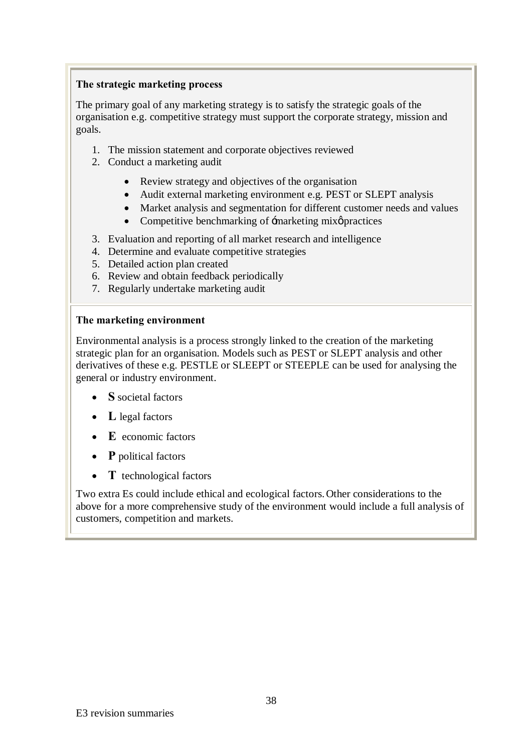### **The strategic marketing process**

The primary goal of any marketing strategy is to satisfy the strategic goals of the organisation e.g. competitive strategy must support the corporate strategy, mission and goals.

- 1. The mission statement and corporate objectives reviewed
- 2. Conduct a marketing audit
	- Review strategy and objectives of the organisation
	- · Audit external marketing environment e.g. PEST or SLEPT analysis
	- · Market analysis and segmentation for different customer needs and values
	- Competitive benchmarking of  $\exists$ marketing mix $\phi$  practices
- 3. Evaluation and reporting of all market research and intelligence
- 4. Determine and evaluate competitive strategies
- 5. Detailed action plan created
- 6. Review and obtain feedback periodically
- 7. Regularly undertake marketing audit

### **The marketing environment**

Environmental analysis is a process strongly linked to the creation of the marketing strategic plan for an organisation. Models such as PEST or SLEPT analysis and other derivatives of these e.g. PESTLE or SLEEPT or STEEPLE can be used for analysing the general or industry environment.

- · **S** societal factors
- L legal factors
- · **E** economic factors
- · **P** political factors
- · **T** technological factors

Two extra Es could include ethical and ecological factors.Other considerations to the above for a more comprehensive study of the environment would include a full analysis of customers, competition and markets.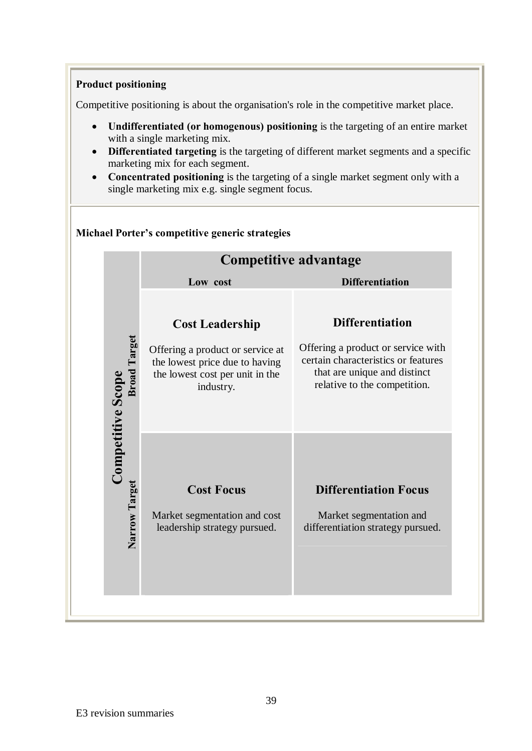### **Product positioning**

Competitive positioning is about the organisation's role in the competitive market place.

- · **Undifferentiated (or homogenous) positioning** is the targeting of an entire market with a single marketing mix.
- · **Differentiated targeting** is the targeting of different market segments and a specific marketing mix for each segment.
- · **Concentrated positioning** is the targeting of a single market segment only with a single marketing mix e.g. single segment focus.

|                                                 | <b>Competitive advantage</b>                                                                                                                 |                                                                                                                                                                     |  |  |
|-------------------------------------------------|----------------------------------------------------------------------------------------------------------------------------------------------|---------------------------------------------------------------------------------------------------------------------------------------------------------------------|--|--|
|                                                 | Low cost                                                                                                                                     | <b>Differentiation</b>                                                                                                                                              |  |  |
| <b>Broad Target</b><br><b>Competitive Scope</b> | <b>Cost Leadership</b><br>Offering a product or service at<br>the lowest price due to having<br>the lowest cost per unit in the<br>industry. | <b>Differentiation</b><br>Offering a product or service with<br>certain characteristics or features<br>that are unique and distinct<br>relative to the competition. |  |  |
| Narrow Target                                   | <b>Cost Focus</b><br>Market segmentation and cost<br>leadership strategy pursued.                                                            | <b>Differentiation Focus</b><br>Market segmentation and<br>differentiation strategy pursued.                                                                        |  |  |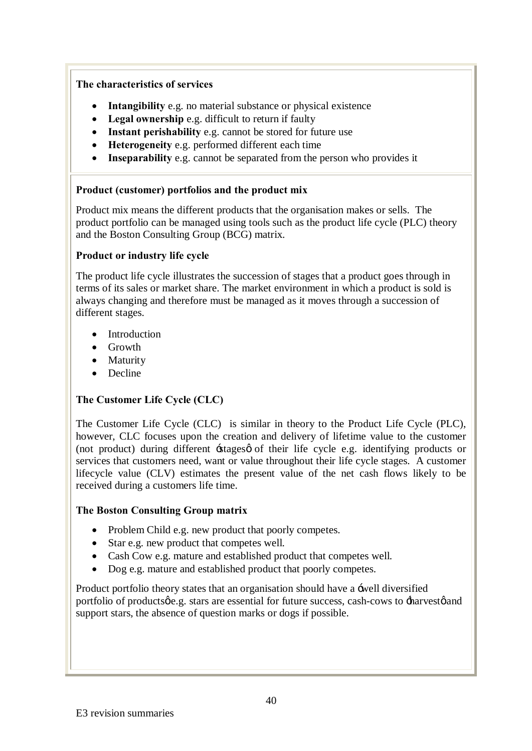### **The characteristics of services**

- · **Intangibility** e.g. no material substance or physical existence
- · **Legal ownership** e.g. difficult to return if faulty
- · **Instant perishability** e.g. cannot be stored for future use
- · **Heterogeneity** e.g. performed different each time
- · **Inseparability** e.g. cannot be separated from the person who provides it

### **Product (customer) portfolios and the product mix**

Product mix means the different products that the organisation makes or sells. The product portfolio can be managed using tools such as the product life cycle (PLC) theory and the Boston Consulting Group (BCG) matrix.

### **Product or industry life cycle**

The product life cycle illustrates the succession of stages that a product goes through in terms of its sales or market share. The market environment in which a product is sold is always changing and therefore must be managed as it moves through a succession of different stages.

- Introduction
- Growth
- Maturity
- Decline

## **The Customer Life Cycle (CLC)**

The Customer Life Cycle (CLC) is similar in theory to the Product Life Cycle (PLC), however, CLC focuses upon the creation and delivery of lifetime value to the customer (not product) during different  $\pm$ stages of their life cycle e.g. identifying products or services that customers need, want or value throughout their life cycle stages. A customer lifecycle value (CLV) estimates the present value of the net cash flows likely to be received during a customers life time.

### **The Boston Consulting Group matrix**

- Problem Child e.g. new product that poorly competes.
- Star e.g. new product that competes well.
- Cash Cow e.g. mature and established product that competes well.
- Dog e.g. mature and established product that poorly competes.

Product portfolio theory states that an organisation should have a 'well diversified portfolio of products  $\phi$ .g. stars are essential for future success, cash-cows to  $\pm$ harvest $\phi$  and support stars, the absence of question marks or dogs if possible.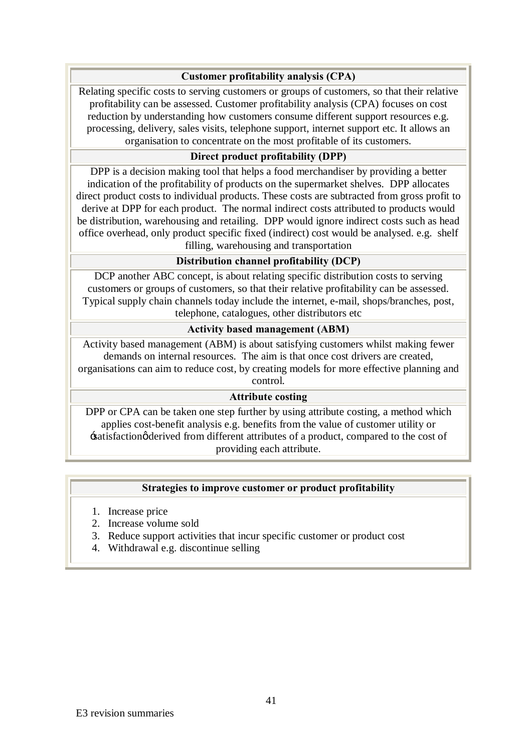### **Customer profitability analysis (CPA)**

Relating specific costs to serving customers or groups of customers, so that their relative profitability can be assessed. Customer profitability analysis (CPA) focuses on cost reduction by understanding how customers consume different support resources e.g. processing, delivery, sales visits, telephone support, internet support etc. It allows an organisation to concentrate on the most profitable of its customers.

### **Direct product profitability (DPP)**

DPP is a decision making tool that helps a food merchandiser by providing a better indication of the profitability of products on the supermarket shelves. DPP allocates direct product costs to individual products. These costs are subtracted from gross profit to derive at DPP for each product. The normal indirect costs attributed to products would be distribution, warehousing and retailing. DPP would ignore indirect costs such as head office overhead, only product specific fixed (indirect) cost would be analysed. e.g. shelf filling, warehousing and transportation

### **Distribution channel profitability (DCP)**

DCP another ABC concept, is about relating specific distribution costs to serving customers or groups of customers, so that their relative profitability can be assessed. Typical supply chain channels today include the internet, e-mail, shops/branches, post, telephone, catalogues, other distributors etc

### **Activity based management (ABM)**

Activity based management (ABM) is about satisfying customers whilst making fewer demands on internal resources. The aim is that once cost drivers are created, organisations can aim to reduce cost, by creating models for more effective planning and control.

### **Attribute costing**

DPP or CPA can be taken one step further by using attribute costing, a method which applies cost-benefit analysis e.g. benefits from the value of customer utility or 'satisfaction' derived from different attributes of a product, compared to the cost of providing each attribute.

### **Strategies to improve customer or product profitability**

- 1. Increase price
- 2. Increase volume sold
- 3. Reduce support activities that incur specific customer or product cost
- 4. Withdrawal e.g. discontinue selling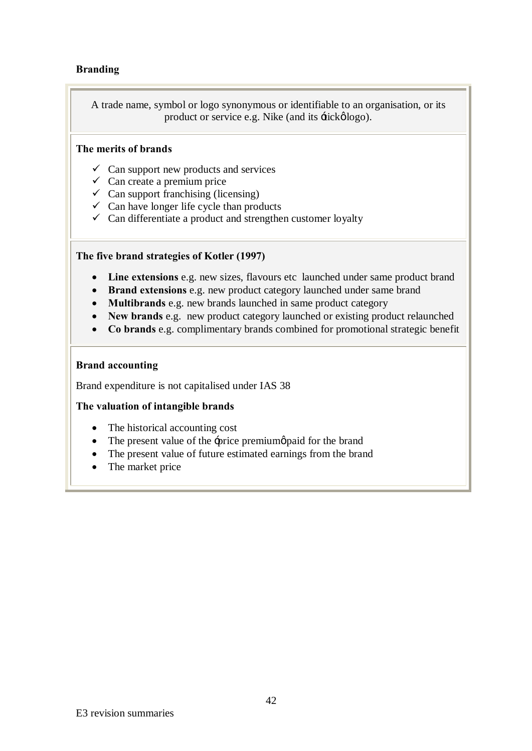### **Branding**

A trade name, symbol or logo synonymous or identifiable to an organisation, or its product or service e.g. Nike (and its  $\pm i c \kappa \phi \log o$ ).

### **The merits of brands**

- $\checkmark$  Can support new products and services
- $\checkmark$  Can create a premium price
- $\checkmark$  Can support franchising (licensing)
- $\checkmark$  Can have longer life cycle than products
- $\checkmark$  Can differentiate a product and strengthen customer loyalty

### **The five brand strategies of Kotler (1997)**

- · **Line extensions** e.g. new sizes, flavours etc launched under same product brand
- · **Brand extensions** e.g. new product category launched under same brand
- · **Multibrands** e.g. new brands launched in same product category
- · **New brands** e.g. new product category launched or existing product relaunched
- · **Co brands** e.g. complimentary brands combined for promotional strategic benefit

### **Brand accounting**

Brand expenditure is not capitalised under IAS 38

### **The valuation of intangible brands**

- The historical accounting cost
- The present value of the  $\exists$ price premium $\emptyset$  paid for the brand
- The present value of future estimated earnings from the brand
- The market price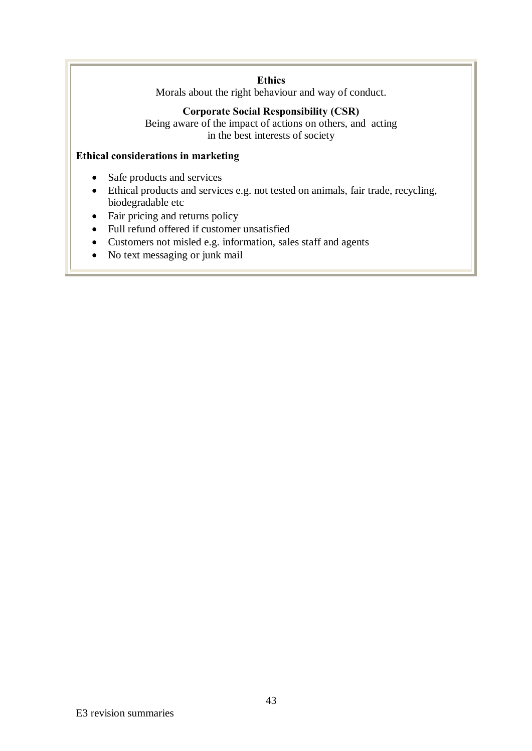### **Ethics**

Morals about the right behaviour and way of conduct.

### **Corporate Social Responsibility (CSR)**

Being aware of the impact of actions on others, and acting in the best interests of society

### **Ethical considerations in marketing**

- · Safe products and services
- · Ethical products and services e.g. not tested on animals, fair trade, recycling, biodegradable etc
- Fair pricing and returns policy
- · Full refund offered if customer unsatisfied
- · Customers not misled e.g. information, sales staff and agents
- No text messaging or junk mail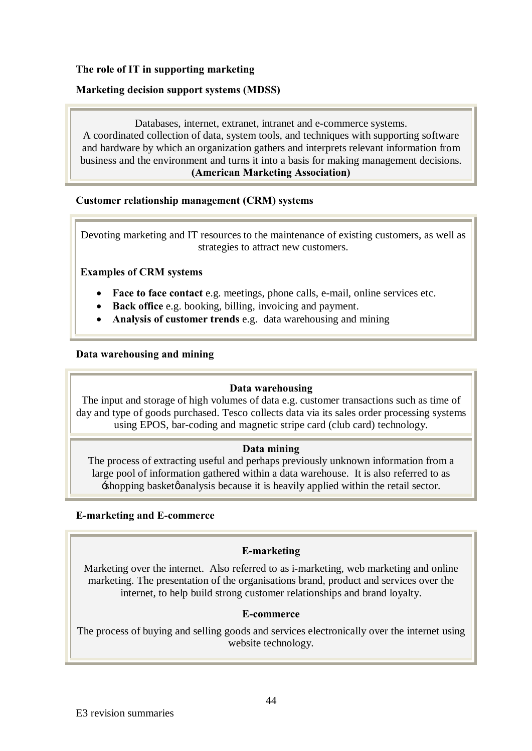### **The role of IT in supporting marketing**

### **Marketing decision support systems (MDSS)**

Databases, internet, extranet, intranet and e-commerce systems. A coordinated collection of data, system tools, and techniques with supporting software and hardware by which an organization gathers and interprets relevant information from business and the environment and turns it into a basis for making management decisions. **(American Marketing Association)**

### **Customer relationship management (CRM) systems**

Devoting marketing and IT resources to the maintenance of existing customers, as well as strategies to attract new customers.

### **Examples of CRM systems**

- · **Face to face contact** e.g. meetings, phone calls, e-mail, online services etc.
- · **Back office** e.g. booking, billing, invoicing and payment.
- · **Analysis of customer trends** e.g. data warehousing and mining

### **Data warehousing and mining**

### **Data warehousing**

The input and storage of high volumes of data e.g. customer transactions such as time of day and type of goods purchased. Tesco collects data via its sales order processing systems using EPOS, bar-coding and magnetic stripe card (club card) technology.

### **Data mining**

The process of extracting useful and perhaps previously unknown information from a large pool of information gathered within a data warehouse. It is also referred to as  $\pm$ shopping basket $\phi$  analysis because it is heavily applied within the retail sector.

### **E-marketing and E-commerce**

### **E-marketing**

Marketing over the internet. Also referred to as i-marketing, web marketing and online marketing. The presentation of the organisations brand, product and services over the internet, to help build strong customer relationships and brand loyalty.

### **E-commerce**

The process of buying and selling goods and services electronically over the internet using website technology.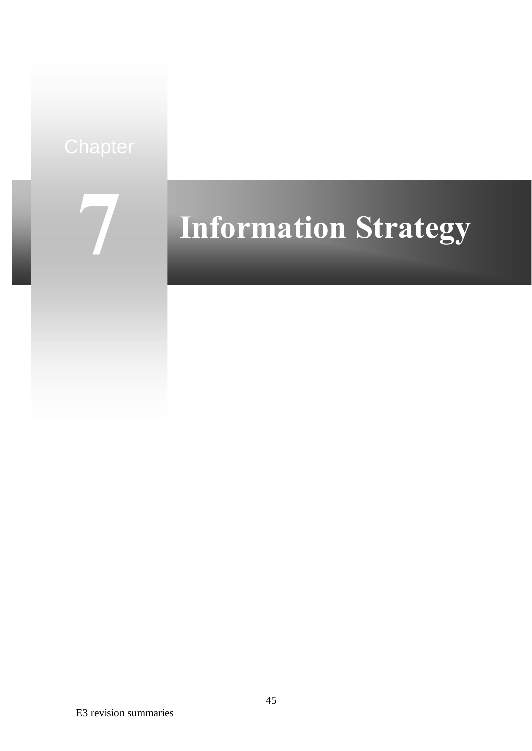

# **Information Strategy**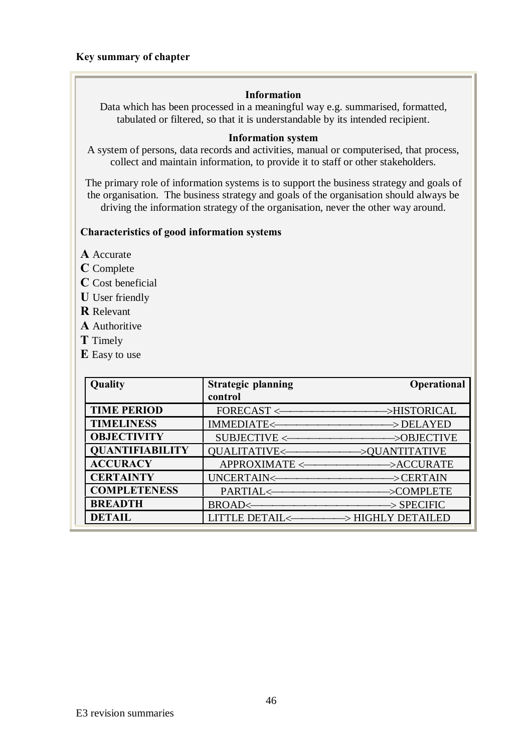### **Key summary of chapter**

### **Information**

Data which has been processed in a meaningful way e.g. summarised, formatted, tabulated or filtered, so that it is understandable by its intended recipient.

### **Information system**

A system of persons, data records and activities, manual or computerised, that process, collect and maintain information, to provide it to staff or other stakeholders.

The primary role of information systems is to support the business strategy and goals of the organisation. The business strategy and goals of the organisation should always be driving the information strategy of the organisation, never the other way around.

### **Characteristics of good information systems**

- **A** Accurate
- **C** Complete
- **C** Cost beneficial
- **U** User friendly
- **R** Relevant
- **A** Authoritive
- **T** Timely
- **E** Easy to use

| Quality                | <b>Strategic planning</b> | <b>Operational</b>                                      |
|------------------------|---------------------------|---------------------------------------------------------|
|                        | control                   |                                                         |
| <b>TIME PERIOD</b>     |                           |                                                         |
| <b>TIMELINESS</b>      |                           | IMMEDIATE<---------------------------------->DELAYED    |
| <b>OBJECTIVITY</b>     |                           | SUBJECTIVE <--------------------------------->OBJECTIVE |
| <b>QUANTIFIABILITY</b> |                           | QUALITATIVE<--------------------->QUANTITATIVE          |
| <b>ACCURACY</b>        |                           | APPROXIMATE <===========>ACCURATE                       |
| <b>CERTAINTY</b>       |                           |                                                         |
| <b>COMPLETENESS</b>    |                           |                                                         |
| <b>BREADTH</b>         |                           |                                                         |
| <b>DETAIL</b>          |                           | LITTLE DETAIL<-------------> HIGHLY DETAILED            |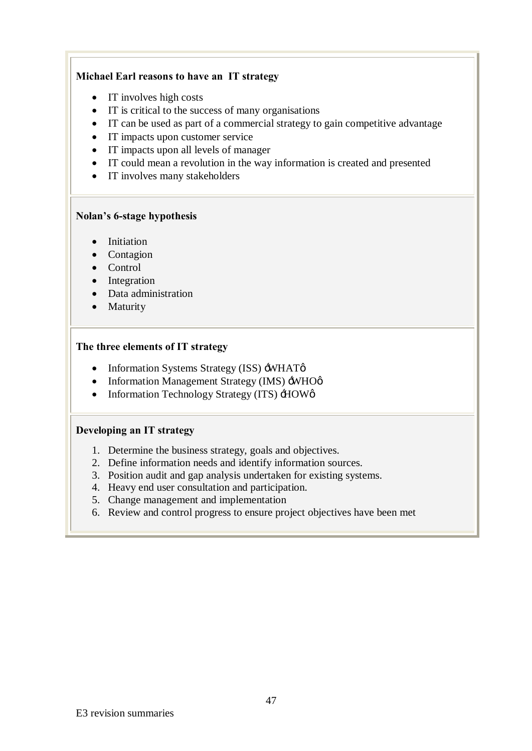### **Michael Earl reasons to have an IT strategy**

- IT involves high costs
- · IT is critical to the success of many organisations
- · IT can be used as part of a commercial strategy to gain competitive advantage
- IT impacts upon customer service
- · IT impacts upon all levels of manager
- · IT could mean a revolution in the way information is created and presented
- IT involves many stakeholders

### **Nolan's 6-stage hypothesis**

- · Initiation
- Contagion
- · Control
- Integration
- · Data administration
- Maturity

### **The three elements of IT strategy**

- Information Systems Strategy (ISS) -WHAT $\phi$
- Information Management Strategy (IMS)  $\div$ WHO $\phi$
- Information Technology Strategy (ITS)  $\pm$ IOWø

### **Developing an IT strategy**

- 1. Determine the business strategy, goals and objectives.
- 2. Define information needs and identify information sources.
- 3. Position audit and gap analysis undertaken for existing systems.
- 4. Heavy end user consultation and participation.
- 5. Change management and implementation
- 6. Review and control progress to ensure project objectives have been met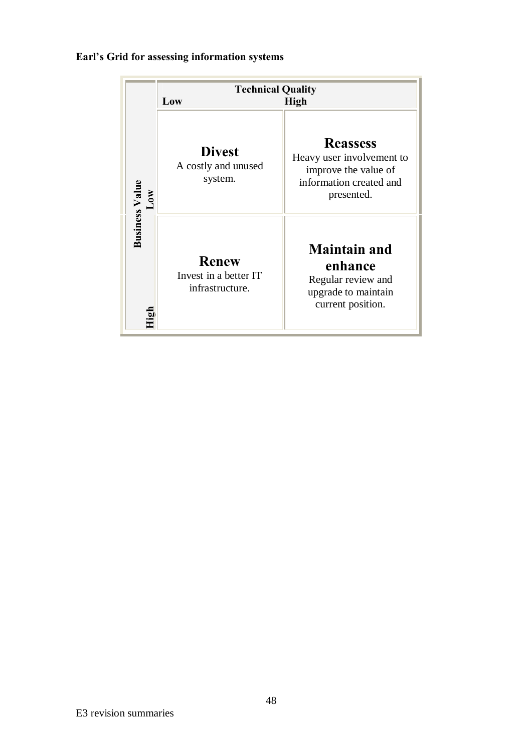## **Earl's Grid for assessing information systems**

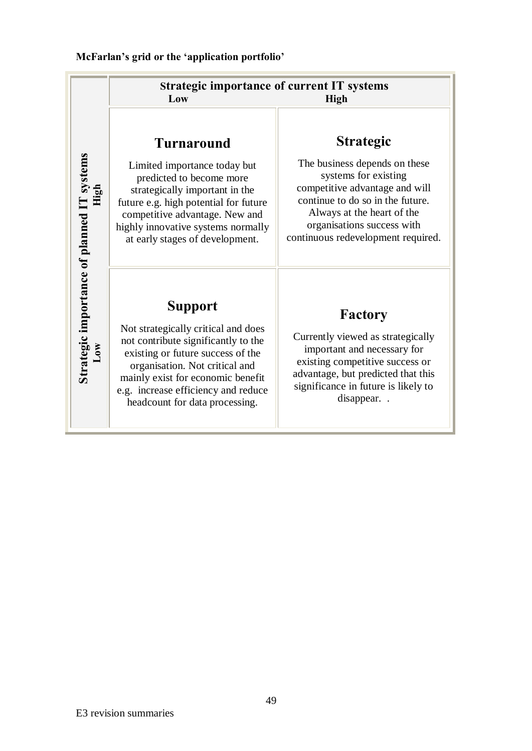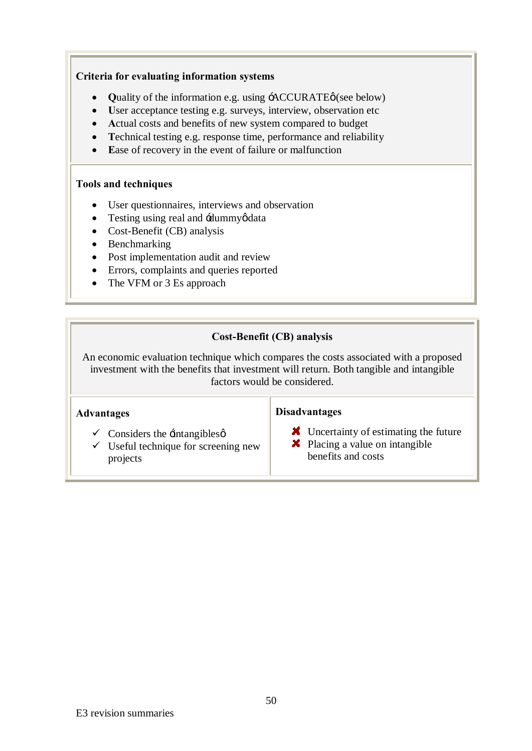### **Criteria for evaluating information systems**

- Quality of the information e.g. using  $\angle$ ACCURATE $\phi$  (see below)
- · **U**ser acceptance testing e.g. surveys, interview, observation etc
- · **A**ctual costs and benefits of new system compared to budget
- · **T**echnical testing e.g. response time, performance and reliability
- · **E**ase of recovery in the event of failure or malfunction

### **Tools and techniques**

- · User questionnaires, interviews and observation
- Testing using real and -dummyødata
- Cost-Benefit (CB) analysis
- Benchmarking
- Post implementation audit and review
- · Errors, complaints and queries reported
- The VFM or 3 Es approach

## **Cost-Benefit (CB) analysis**

An economic evaluation technique which compares the costs associated with a proposed investment with the benefits that investment will return. Both tangible and intangible factors would be considered.

### **Advantages**

### **Disadvantages**

- **X** Uncertainty of estimating the future
- $\checkmark$  Useful technique for screening new projects

 $\checkmark$  Considers the  $\checkmark$  intangibles  $\check{\phi}$ 

- **X** Placing a value on intangible
	- benefits and costs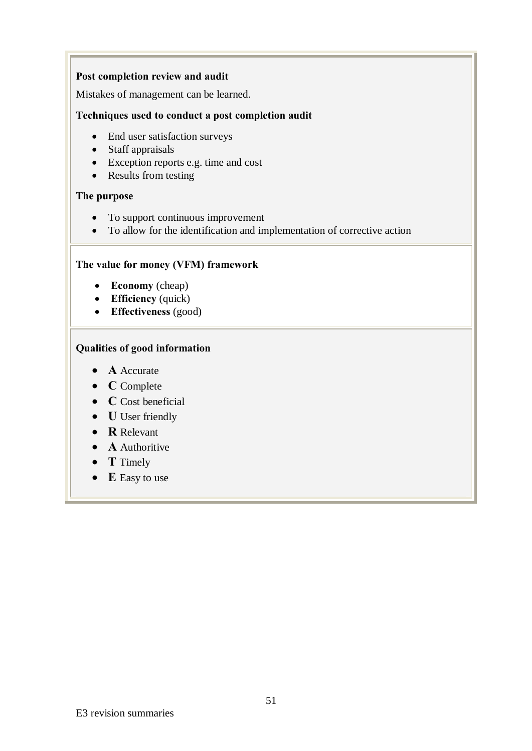### **Post completion review and audit**

Mistakes of management can be learned.

### **Techniques used to conduct a post completion audit**

- End user satisfaction surveys
- Staff appraisals
- Exception reports e.g. time and cost
- Results from testing

### **The purpose**

- To support continuous improvement
- · To allow for the identification and implementation of corrective action

### **The value for money (VFM) framework**

- · **Economy** (cheap)
- · **Efficiency** (quick)
- · **Effectiveness** (good)

### **Qualities of good information**

- · **A** Accurate
- · **C** Complete
- · **C** Cost beneficial
- · **U** User friendly
- · **R** Relevant
- · **A** Authoritive
- · **T** Timely
- · **E** Easy to use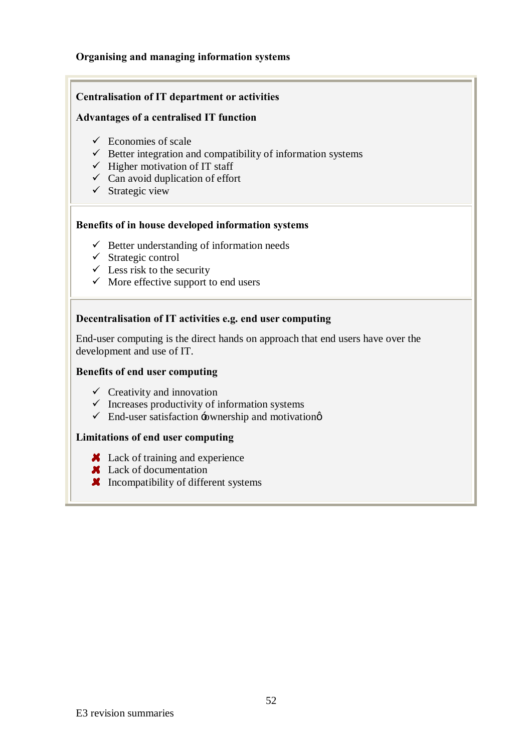### **Organising and managing information systems**

### **Centralisation of IT department or activities**

### **Advantages of a centralised IT function**

- $\checkmark$  Economies of scale
- $\checkmark$  Better integration and compatibility of information systems
- $\checkmark$  Higher motivation of IT staff
- $\checkmark$  Can avoid duplication of effort
- $\checkmark$  Strategic view

### **Benefits of in house developed information systems**

- $\checkmark$  Better understanding of information needs
- $\checkmark$  Strategic control
- $\checkmark$  Less risk to the security
- $\checkmark$  More effective support to end users

### **Decentralisation of IT activities e.g. end user computing**

End-user computing is the direct hands on approach that end users have over the development and use of IT.

### **Benefits of end user computing**

- $\checkmark$  Creativity and innovation
- $\checkmark$  Increases productivity of information systems
- $\checkmark$  End-user satisfaction -ownership and motivation

### **Limitations of end user computing**

- **X** Lack of training and experience
- **X** Lack of documentation
- **X** Incompatibility of different systems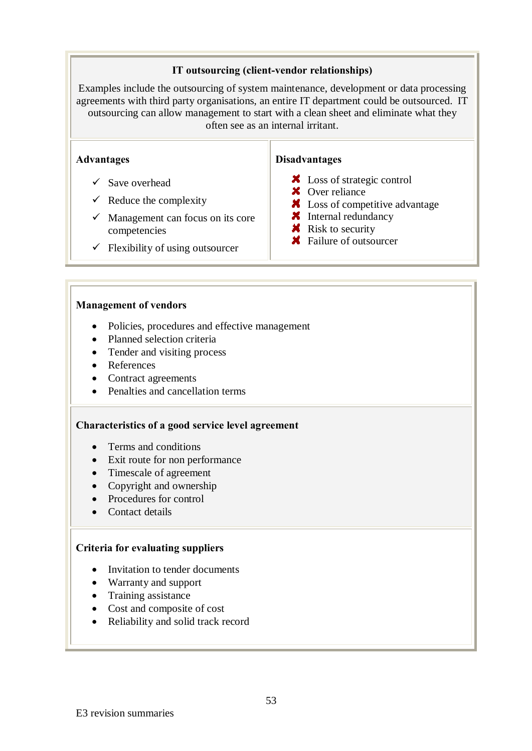### **IT outsourcing (client-vendor relationships)**

Examples include the outsourcing of system maintenance, development or data processing agreements with third party organisations, an entire IT department could be outsourced. IT outsourcing can allow management to start with a clean sheet and eliminate what they often see as an internal irritant.

### **Advantages**

- $\checkmark$  Save overhead
- $\checkmark$  Reduce the complexity
- $\checkmark$  Management can focus on its core competencies
- $\checkmark$  Flexibility of using outsourcer

### **Disadvantages**

- **X** Loss of strategic control
- **X** Over reliance
- **X** Loss of competitive advantage
- **X** Internal redundancy
- $\mathbf{\times}$  Risk to security
- **★** Failure of outsourcer

### **Management of vendors**

- · Policies, procedures and effective management
- Planned selection criteria
- Tender and visiting process
- · References
- Contract agreements
- Penalties and cancellation terms

### **Characteristics of a good service level agreement**

- Terms and conditions
- Exit route for non performance
- · Timescale of agreement
- Copyright and ownership
- Procedures for control
- Contact details

### **Criteria for evaluating suppliers**

- Invitation to tender documents
- · Warranty and support
- Training assistance
- · Cost and composite of cost
- Reliability and solid track record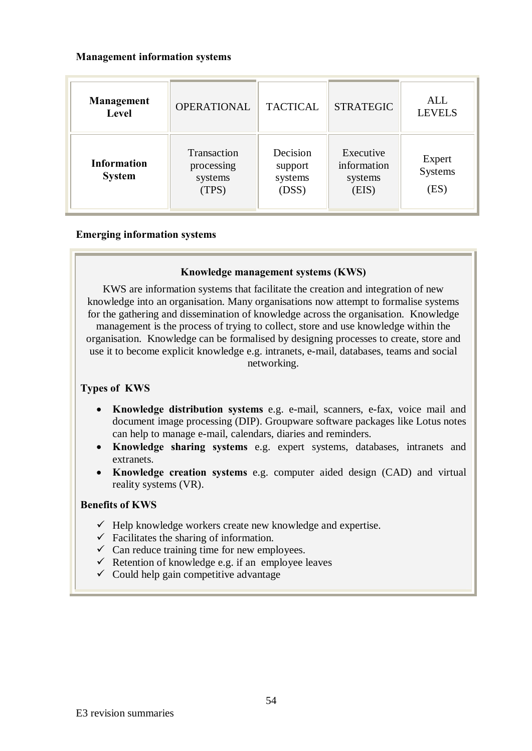### **Management information systems**

| Management<br>Level                 | <b>OPERATIONAL</b>                            | <b>TACTICAL</b>                         | <b>STRATEGIC</b>                             | <b>ALL</b><br><b>LEVELS</b> |
|-------------------------------------|-----------------------------------------------|-----------------------------------------|----------------------------------------------|-----------------------------|
| <b>Information</b><br><b>System</b> | Transaction<br>processing<br>systems<br>(TPS) | Decision<br>support<br>systems<br>(DSS) | Executive<br>information<br>systems<br>(EIS) | Expert<br>Systems<br>(ES)   |

### **Emerging information systems**

### **Knowledge management systems (KWS)**

KWS are information systems that facilitate the creation and integration of new knowledge into an organisation. Many organisations now attempt to formalise systems for the gathering and dissemination of knowledge across the organisation. Knowledge management is the process of trying to collect, store and use knowledge within the organisation. Knowledge can be formalised by designing processes to create, store and use it to become explicit knowledge e.g. intranets, e-mail, databases, teams and social networking.

### **Types of KWS**

- · **Knowledge distribution systems** e.g. e-mail, scanners, e-fax, voice mail and document image processing (DIP). Groupware software packages like Lotus notes can help to manage e-mail, calendars, diaries and reminders.
- · **Knowledge sharing systems** e.g. expert systems, databases, intranets and extranets.
- · **Knowledge creation systems** e.g. computer aided design (CAD) and virtual reality systems (VR).

### **Benefits of KWS**

- $\checkmark$  Help knowledge workers create new knowledge and expertise.
- $\checkmark$  Facilitates the sharing of information.
- $\checkmark$  Can reduce training time for new employees.
- $\checkmark$  Retention of knowledge e.g. if an employee leaves
- $\checkmark$  Could help gain competitive advantage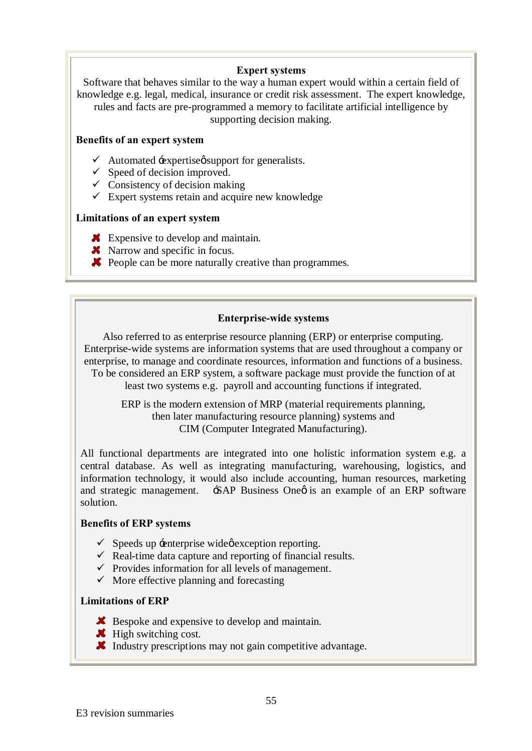### **Expert systems**

Software that behaves similar to the way a human expert would within a certain field of knowledge e.g. legal, medical, insurance or credit risk assessment. The expert knowledge, rules and facts are pre-programmed a memory to facilitate artificial intelligence by supporting decision making.

### **Benefits of an expert system**

- $\checkmark$  Automated  $\text{:=}$  expertises support for generalists.
- $\checkmark$  Speed of decision improved.
- $\checkmark$  Consistency of decision making
- $\checkmark$  Expert systems retain and acquire new knowledge

### **Limitations of an expert system**

- **K** Expensive to develop and maintain.
- **X** Narrow and specific in focus.
- **X** People can be more naturally creative than programmes.

### **Enterprise-wide systems**

Also referred to as enterprise resource planning (ERP) or enterprise computing. Enterprise-wide systems are information systems that are used throughout a company or enterprise, to manage and coordinate resources, information and functions of a business. To be considered an ERP system, a software package must provide the function of at least two systems e.g. payroll and accounting functions if integrated.

ERP is the modern extension of MRP (material requirements planning, then later manufacturing resource planning) systems and CIM (Computer Integrated Manufacturing).

All functional departments are integrated into one holistic information system e.g. a central database. As well as integrating manufacturing, warehousing, logistics, and information technology, it would also include accounting, human resources, marketing and strategic management. SAP Business One is an example of an ERP software solution.

### **Benefits of ERP systems**

- $\checkmark$  Speeds up  $\check{=}$  enterprise wide oscaption reporting.
- $\checkmark$  Real-time data capture and reporting of financial results.
- $\checkmark$  Provides information for all levels of management.
- $\checkmark$  More effective planning and forecasting

### **Limitations of ERP**

- **X** Bespoke and expensive to develop and maintain.
- $\mathbf{\mathcal{K}}$  High switching cost.
- Industry prescriptions may not gain competitive advantage.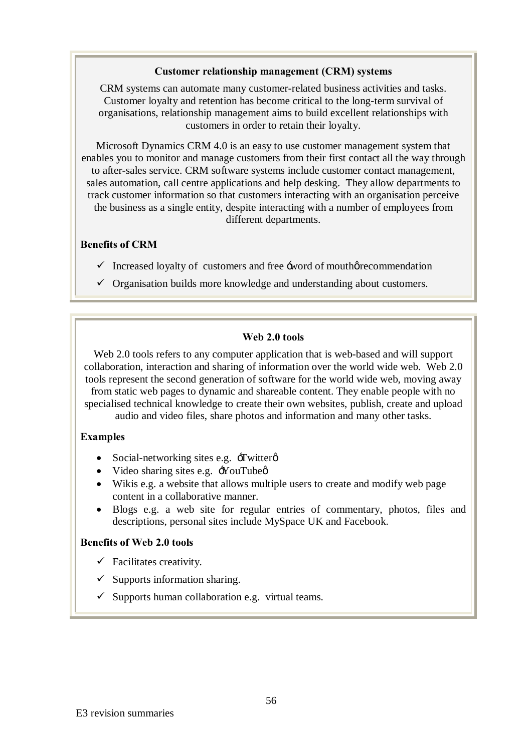### **Customer relationship management (CRM) systems**

CRM systems can automate many customer-related business activities and tasks. Customer loyalty and retention has become critical to the long-term survival of organisations, relationship management aims to build excellent relationships with customers in order to retain their loyalty.

Microsoft Dynamics CRM 4.0 is an easy to use customer management system that enables you to monitor and manage customers from their first contact all the way through to after-sales service. CRM software systems include customer contact management, sales automation, call centre applications and help desking. They allow departments to track customer information so that customers interacting with an organisation perceive the business as a single entity, despite interacting with a number of employees from different departments.

### **Benefits of CRM**

- $\checkmark$  Increased loyalty of customers and free  $\checkmark$  and  $\checkmark$  mouth recommendation
- $\checkmark$  Organisation builds more knowledge and understanding about customers.

### **Web 2.0 tools**

Web 2.0 tools refers to any computer application that is web-based and will support collaboration, interaction and sharing of information over the world wide web. Web 2.0 tools represent the second generation of software for the world wide web, moving away from static web pages to dynamic and shareable content. They enable people with no specialised technical knowledge to create their own websites, publish, create and upload audio and video files, share photos and information and many other tasks.

### **Examples**

- Social-networking sites e.g.  $\exists$  witter  $\emptyset$
- Video sharing sites e.g.  $\div$ YouTube $\phi$
- Wikis e.g. a website that allows multiple users to create and modify web page content in a collaborative manner.
- · Blogs e.g. a web site for regular entries of commentary, photos, files and descriptions, personal sites include MySpace UK and Facebook.

### **Benefits of Web 2.0 tools**

- $\checkmark$  Facilitates creativity.
- $\checkmark$  Supports information sharing.
- $\checkmark$  Supports human collaboration e.g. virtual teams.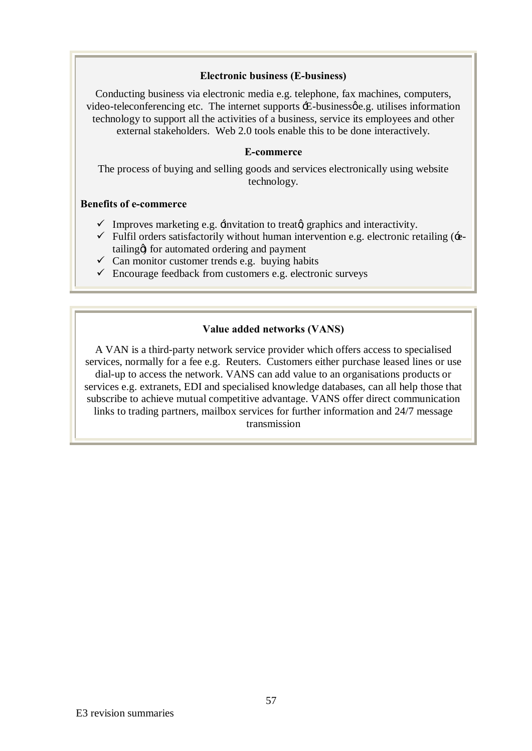### **Electronic business (E-business)**

Conducting business via electronic media e.g. telephone, fax machines, computers, video-teleconferencing etc. The internet supports  $\pm$ -business $\phi$ e.g. utilises information technology to support all the activities of a business, service its employees and other external stakeholders. Web 2.0 tools enable this to be done interactively.

### **E-commerce**

The process of buying and selling goods and services electronically using website technology.

### **Benefits of e-commerce**

- $\checkmark$  Improves marketing e.g.  $\checkmark$  invitation to treator graphics and interactivity.
- $\checkmark$  Fulfil orders satisfactorily without human intervention e.g. electronic retailing ( $\hat{\cdot}$ etailing) for automated ordering and payment
- $\checkmark$  Can monitor customer trends e.g. buying habits
- $\checkmark$  Encourage feedback from customers e.g. electronic surveys

### **Value added networks (VANS)**

A VAN is a third-party network service provider which offers access to specialised services, normally for a fee e.g. Reuters. Customers either purchase leased lines or use dial-up to access the network. VANS can add value to an organisations products or services e.g. extranets, EDI and specialised knowledge databases, can all help those that subscribe to achieve mutual competitive advantage. VANS offer direct communication links to trading partners, mailbox services for further information and 24/7 message transmission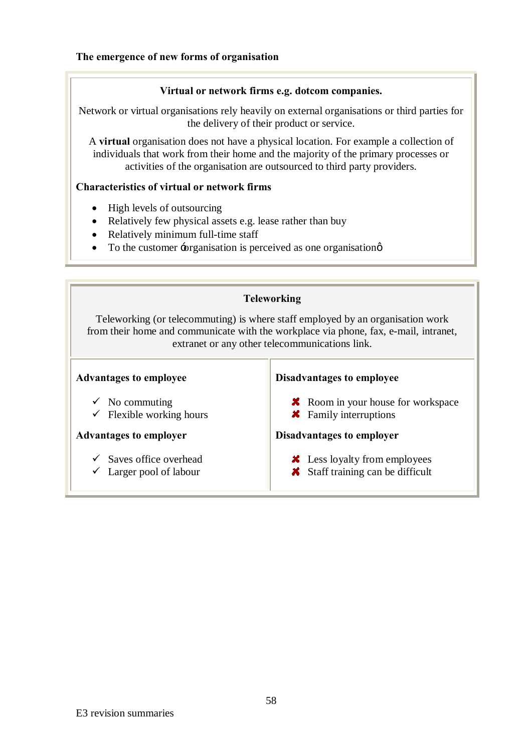### **Virtual or network firms e.g. dotcom companies.**

Network or virtual organisations rely heavily on external organisations or third parties for the delivery of their product or service.

A **virtual** organisation does not have a physical location. For example a collection of individuals that work from their home and the majority of the primary processes or activities of the organisation are outsourced to third party providers.

### **Characteristics of virtual or network firms**

- High levels of outsourcing
- Relatively few physical assets e.g. lease rather than buy
- Relatively minimum full-time staff
- To the customer -organisation is perceived as one organisation  $\phi$

| <b>Teleworking</b>                                                                                                                                                                                                       |                                                                                  |  |  |  |
|--------------------------------------------------------------------------------------------------------------------------------------------------------------------------------------------------------------------------|----------------------------------------------------------------------------------|--|--|--|
| Teleworking (or telecommuting) is where staff employed by an organisation work<br>from their home and communicate with the workplace via phone, fax, e-mail, intranet,<br>extranet or any other telecommunications link. |                                                                                  |  |  |  |
| <b>Advantages to employee</b>                                                                                                                                                                                            | Disadvantages to employee                                                        |  |  |  |
| $\checkmark$ No commuting<br>Flexible working hours                                                                                                                                                                      | <b>X</b> Room in your house for workspace<br><b>*</b> Family interruptions       |  |  |  |
| <b>Advantages to employer</b>                                                                                                                                                                                            | Disadvantages to employer                                                        |  |  |  |
| $\checkmark$ Saves office overhead<br>Larger pool of labour                                                                                                                                                              | <b>X</b> Less loyalty from employees<br><b>X</b> Staff training can be difficult |  |  |  |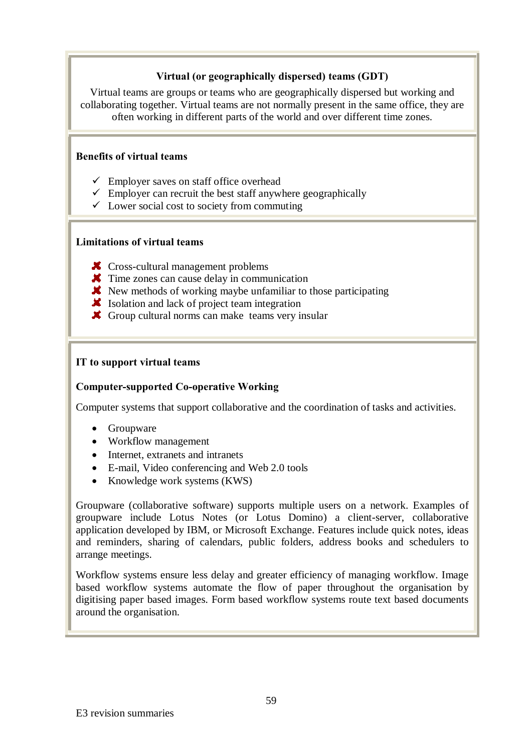### **Virtual (or geographically dispersed) teams (GDT)**

Virtual teams are groups or teams who are geographically dispersed but working and collaborating together. Virtual teams are not normally present in the same office, they are often working in different parts of the world and over different time zones.

### **Benefits of virtual teams**

- $\checkmark$  Employer saves on staff office overhead
- $\checkmark$  Employer can recruit the best staff anywhere geographically
- $\checkmark$  Lower social cost to society from commuting

### **Limitations of virtual teams**

- **X** Cross-cultural management problems
- **X** Time zones can cause delay in communication
- $\blacktriangleright$  New methods of working maybe unfamiliar to those participating
- Isolation and lack of project team integration
- Group cultural norms can make teams very insular

### **IT to support virtual teams**

### **Computer-supported Co-operative Working**

Computer systems that support collaborative and the coordination of tasks and activities.

- · Groupware
- Workflow management
- Internet, extranets and intranets
- · E-mail, Video conferencing and Web 2.0 tools
- Knowledge work systems (KWS)

Groupware (collaborative software) supports multiple users on a network. Examples of groupware include Lotus Notes (or Lotus Domino) a client-server, collaborative application developed by IBM, or Microsoft Exchange. Features include quick notes, ideas and reminders, sharing of calendars, public folders, address books and schedulers to arrange meetings.

Workflow systems ensure less delay and greater efficiency of managing workflow. Image based workflow systems automate the flow of paper throughout the organisation by digitising paper based images. Form based workflow systems route text based documents around the organisation.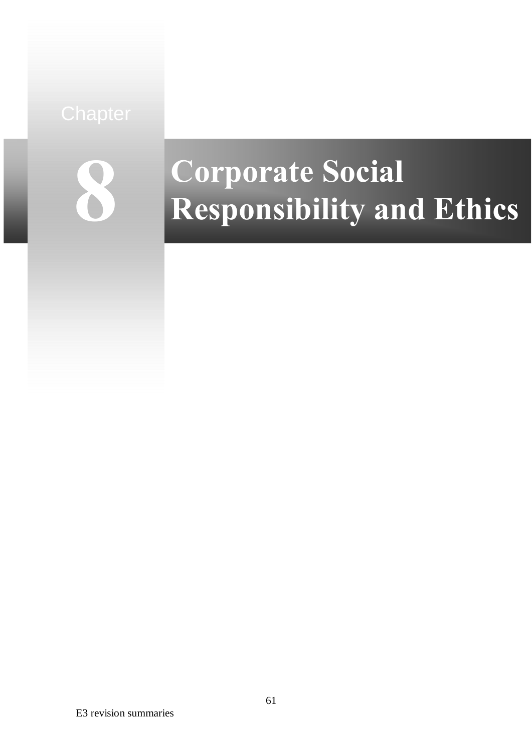

# **Corporate Social Responsibility and Ethics**

E3 revision summaries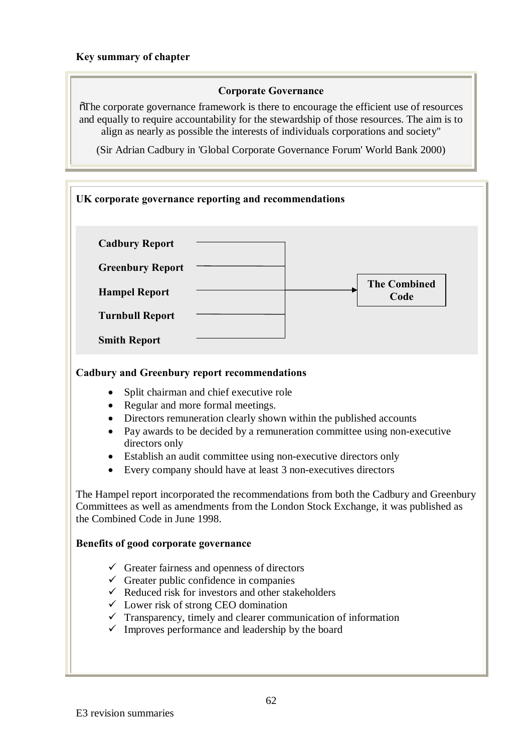### **Key summary of chapter**

### **Corporate Governance**

"The corporate governance framework is there to encourage the efficient use of resources and equally to require accountability for the stewardship of those resources. The aim is to align as nearly as possible the interests of individuals corporations and society"

(Sir Adrian Cadbury in 'Global Corporate Governance Forum' World Bank 2000)

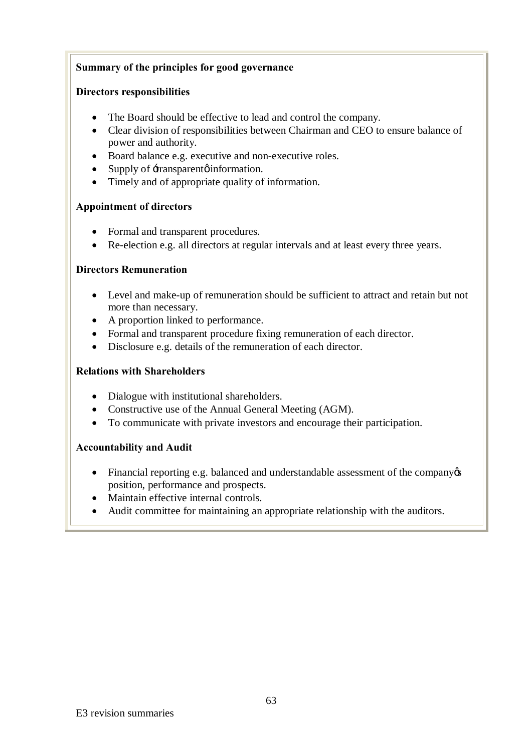### **Summary of the principles for good governance**

### **Directors responsibilities**

- The Board should be effective to lead and control the company.
- · Clear division of responsibilities between Chairman and CEO to ensure balance of power and authority.
- · Board balance e.g. executive and non-executive roles.
- Supply of  $\pm$ ransparent  $\phi$  information.
- · Timely and of appropriate quality of information.

### **Appointment of directors**

- Formal and transparent procedures.
- Re-election e.g. all directors at regular intervals and at least every three years.

### **Directors Remuneration**

- Level and make-up of remuneration should be sufficient to attract and retain but not more than necessary.
- A proportion linked to performance.
- · Formal and transparent procedure fixing remuneration of each director.
- · Disclosure e.g. details of the remuneration of each director.

### **Relations with Shareholders**

- Dialogue with institutional shareholders.
- Constructive use of the Annual General Meeting (AGM).
- · To communicate with private investors and encourage their participation.

### **Accountability and Audit**

- Financial reporting e.g. balanced and understandable assessment of the company  $\infty$ position, performance and prospects.
- Maintain effective internal controls.
- · Audit committee for maintaining an appropriate relationship with the auditors.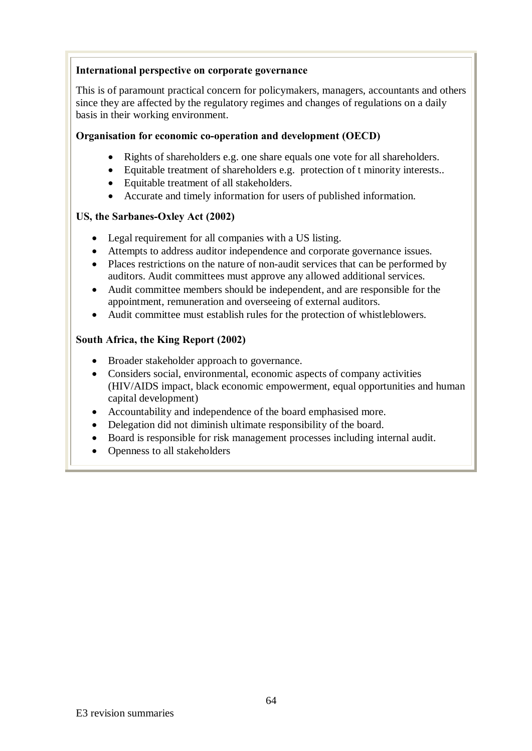### **International perspective on corporate governance**

This is of paramount practical concern for policymakers, managers, accountants and others since they are affected by the regulatory regimes and changes of regulations on a daily basis in their working environment.

### **Organisation for economic co-operation and development (OECD)**

- Rights of shareholders e.g. one share equals one vote for all shareholders.
- · Equitable treatment of shareholders e.g. protection of t minority interests..
- · Equitable treatment of all stakeholders.
- · Accurate and timely information for users of published information.

### **US, the Sarbanes-Oxley Act (2002)**

- · Legal requirement for all companies with a US listing.
- · Attempts to address auditor independence and corporate governance issues.
- · Places restrictions on the nature of non-audit services that can be performed by auditors. Audit committees must approve any allowed additional services.
- · Audit committee members should be independent, and are responsible for the appointment, remuneration and overseeing of external auditors.
- · Audit committee must establish rules for the protection of whistleblowers.

### **South Africa, the King Report (2002)**

- · Broader stakeholder approach to governance.
- Considers social, environmental, economic aspects of company activities (HIV/AIDS impact, black economic empowerment, equal opportunities and human capital development)
- · Accountability and independence of the board emphasised more.
- Delegation did not diminish ultimate responsibility of the board.
- · Board is responsible for risk management processes including internal audit.
- Openness to all stakeholders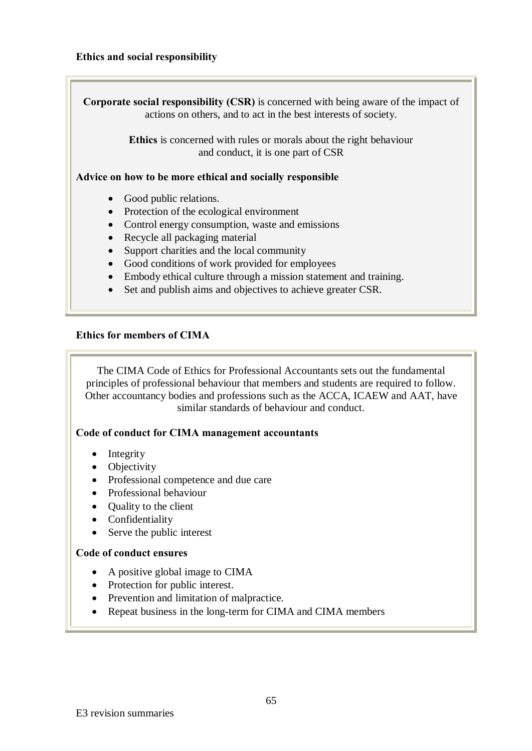### **Ethics and social responsibility**

**Corporate social responsibility (CSR)** is concerned with being aware of the impact of actions on others, and to act in the best interests of society. **Ethics** is concerned with rules or morals about the right behaviour and conduct, it is one part of CSR

**Advice on how to be more ethical and socially responsible**

- Good public relations.
- Protection of the ecological environment
- Control energy consumption, waste and emissions
- · Recycle all packaging material
- Support charities and the local community
- · Good conditions of work provided for employees
- Embody ethical culture through a mission statement and training.
- Set and publish aims and objectives to achieve greater CSR.

### **Ethics for members of CIMA**

The CIMA Code of Ethics for Professional Accountants sets out the fundamental principles of professional behaviour that members and students are required to follow. Other accountancy bodies and professions such as the ACCA, ICAEW and AAT, have similar standards of behaviour and conduct.

### **Code of conduct for CIMA management accountants**

- Integrity
- Objectivity
- · Professional competence and due care
- Professional behaviour
- Quality to the client
- Confidentiality
- Serve the public interest

### **Code of conduct ensures**

- A positive global image to CIMA
- Protection for public interest.
- · Prevention and limitation of malpractice.
- Repeat business in the long-term for CIMA and CIMA members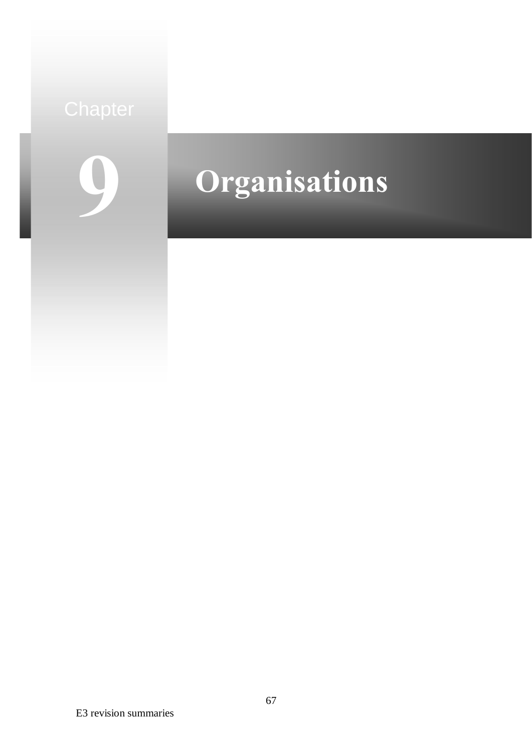# **9**

# **Organisations**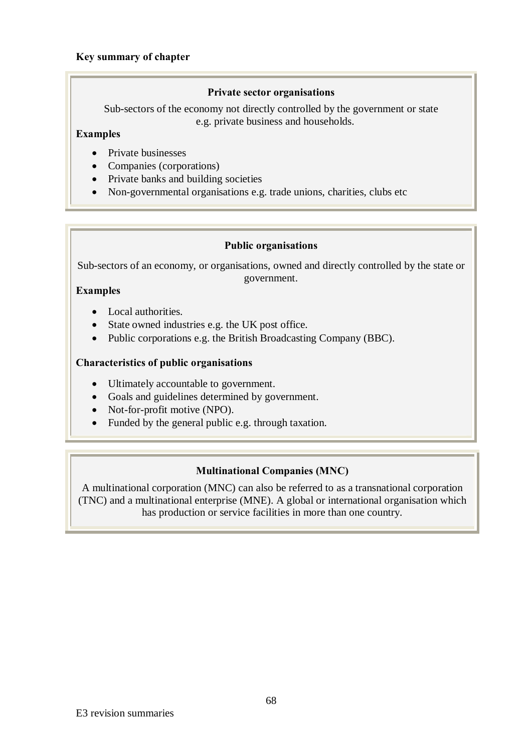### **Key summary of chapter**

### **Private sector organisations**

Sub-sectors of the economy not directly controlled by the government or state e.g. private business and households.

### **Examples**

- Private businesses
- Companies (corporations)
- Private banks and building societies
- Non-governmental organisations e.g. trade unions, charities, clubs etc

### **Public organisations**

Sub-sectors of an economy, or organisations, owned and directly controlled by the state or government.

### **Examples**

- Local authorities.
- State owned industries e.g. the UK post office.
- Public corporations e.g. the British Broadcasting Company (BBC).

### **Characteristics of public organisations**

- · Ultimately accountable to government.
- · Goals and guidelines determined by government.
- Not-for-profit motive (NPO).
- Funded by the general public e.g. through taxation.

### **Multinational Companies (MNC)**

A multinational corporation (MNC) can also be referred to as a transnational corporation (TNC) and a multinational enterprise (MNE). A global or international organisation which has production or service facilities in more than one country.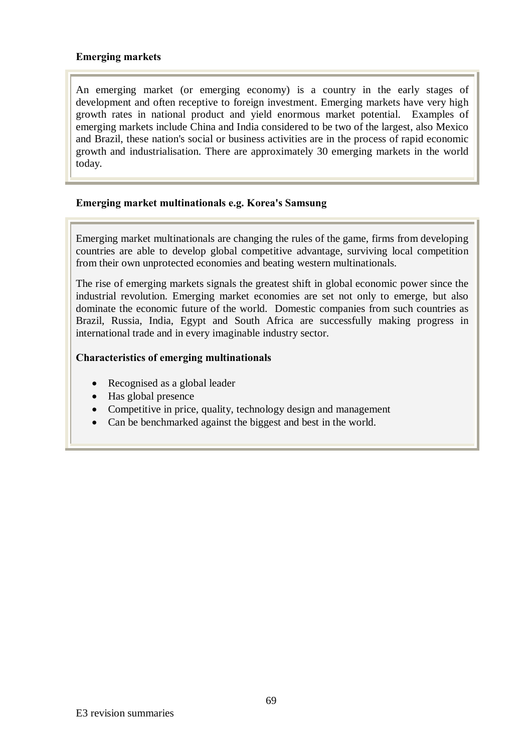### **Emerging markets**

An emerging market (or emerging economy) is a country in the early stages of development and often receptive to foreign investment. Emerging markets have very high growth rates in national product and yield enormous market potential. Examples of emerging markets include China and India considered to be two of the largest, also Mexico and Brazil, these nation's social or business activities are in the process of rapid economic growth and industrialisation. There are approximately 30 emerging markets in the world today.

### **Emerging market multinationals e.g. Korea's Samsung**

Emerging market multinationals are changing the rules of the game, firms from developing countries are able to develop global competitive advantage, surviving local competition from their own unprotected economies and beating western multinationals.

The rise of emerging markets signals the greatest shift in global economic power since the industrial revolution. Emerging market economies are set not only to emerge, but also dominate the economic future of the world. Domestic companies from such countries as Brazil, Russia, India, Egypt and South Africa are successfully making progress in international trade and in every imaginable industry sector.

### **Characteristics of emerging multinationals**

- Recognised as a global leader
- · Has global presence
- Competitive in price, quality, technology design and management
- Can be benchmarked against the biggest and best in the world.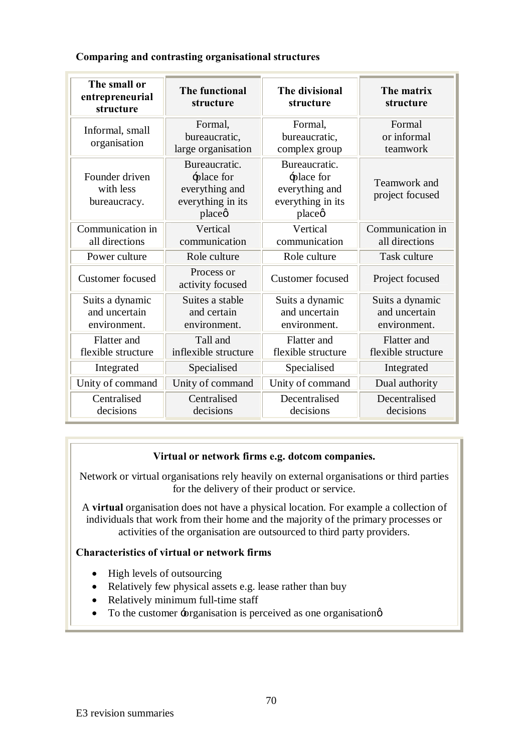|  | Comparing and contrasting organisational structures |  |
|--|-----------------------------------------------------|--|
|  |                                                     |  |

| The small or<br>entrepreneurial<br>structure     | The functional<br>structure                                                  | The divisional<br>structure                                                  | The matrix<br>structure                          |
|--------------------------------------------------|------------------------------------------------------------------------------|------------------------------------------------------------------------------|--------------------------------------------------|
| Informal, small<br>organisation                  | Formal,<br>bureaucratic,<br>large organisation                               | Formal,<br>bureaucratic,<br>complex group                                    | Formal<br>or informal<br>teamwork                |
| Founder driven<br>with less<br>bureaucracy.      | Bureaucratic.<br>÷place for<br>everything and<br>everything in its<br>placeø | Bureaucratic.<br>-place for<br>everything and<br>everything in its<br>placeø | Teamwork and<br>project focused                  |
| Communication in<br>all directions               | Vertical<br>communication                                                    | Vertical<br>communication                                                    | Communication in<br>all directions               |
| Power culture                                    | Role culture                                                                 | Role culture                                                                 | Task culture                                     |
| <b>Customer</b> focused                          | Process or<br>activity focused                                               | <b>Customer</b> focused                                                      | Project focused                                  |
| Suits a dynamic<br>and uncertain<br>environment. | Suites a stable<br>and certain<br>environment.                               | Suits a dynamic<br>and uncertain<br>environment.                             | Suits a dynamic<br>and uncertain<br>environment. |
| Flatter and<br>flexible structure                | Tall and<br>inflexible structure                                             | Flatter and<br>flexible structure                                            | Flatter and<br>flexible structure                |
| Integrated                                       | Specialised                                                                  | Specialised                                                                  | Integrated                                       |
| Unity of command                                 | Unity of command                                                             | Unity of command                                                             | Dual authority                                   |
| Centralised<br>decisions                         | Centralised<br>decisions                                                     | Decentralised<br>decisions                                                   | Decentralised<br>decisions                       |

### **Virtual or network firms e.g. dotcom companies.**

Network or virtual organisations rely heavily on external organisations or third parties for the delivery of their product or service.

A **virtual** organisation does not have a physical location. For example a collection of individuals that work from their home and the majority of the primary processes or activities of the organisation are outsourced to third party providers.

### **Characteristics of virtual or network firms**

- High levels of outsourcing
- · Relatively few physical assets e.g. lease rather than buy
- Relatively minimum full-time staff
- To the customer  $\div$ organisation is perceived as one organisation  $\phi$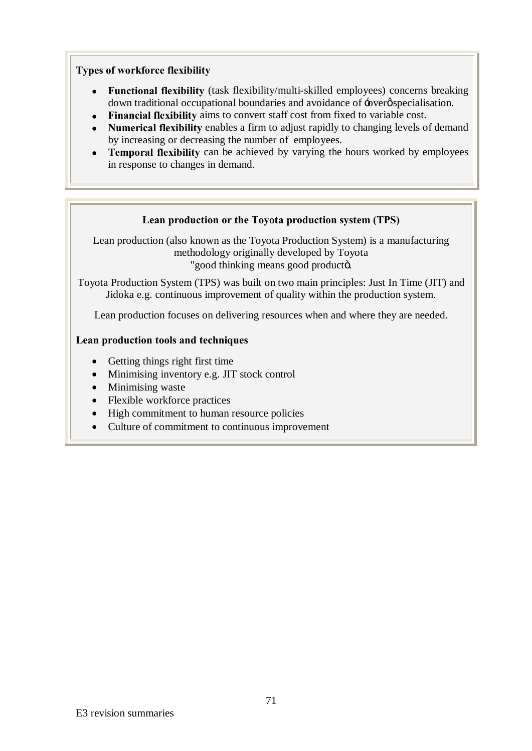### **Types of workforce flexibility**

- · **Functional flexibility** (task flexibility/multi-skilled employees) concerns breaking down traditional occupational boundaries and avoidance of  $\div$  over  $\phi$  specialisation.
- · **Financial flexibility** aims to convert staff cost from fixed to variable cost.
- · **Numerical flexibility** enables a firm to adjust rapidly to changing levels of demand by increasing or decreasing the number of employees.
- · **Temporal flexibility** can be achieved by varying the hours worked by employees in response to changes in demand.

### **Lean production or the Toyota production system (TPS)**

Lean production (also known as the Toyota Production System) is a manufacturing methodology originally developed by Toyota "good thinking means good producto.

Toyota Production System (TPS) was built on two main principles: Just In Time (JIT) and Jidoka e.g. continuous improvement of quality within the production system.

Lean production focuses on delivering resources when and where they are needed.

### **Lean production tools and techniques**

- Getting things right first time
- Minimising inventory e.g. JIT stock control
- Minimising waste
- Flexible workforce practices
- · High commitment to human resource policies
- · Culture of commitment to continuous improvement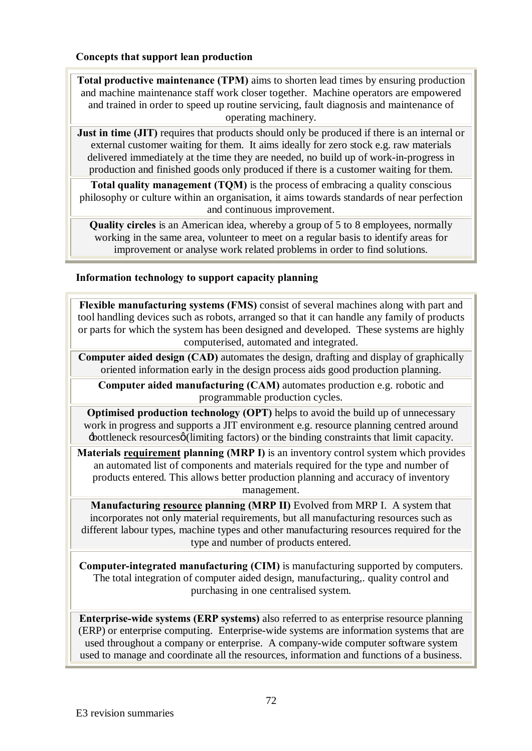### **Concepts that support lean production**

**Total productive maintenance (TPM)** aims to shorten lead times by ensuring production and machine maintenance staff work closer together. Machine operators are empowered and trained in order to speed up routine servicing, fault diagnosis and maintenance of operating machinery.

**Just in time (JIT)** requires that products should only be produced if there is an internal or external customer waiting for them. It aims ideally for zero stock e.g. raw materials delivered immediately at the time they are needed, no build up of work-in-progress in production and finished goods only produced if there is a customer waiting for them.

**Total quality management (TQM)** is the process of embracing a quality conscious philosophy or culture within an organisation, it aims towards standards of near perfection and continuous improvement.

**Quality circles** is an American idea, whereby a group of 5 to 8 employees, normally working in the same area, volunteer to meet on a regular basis to identify areas for improvement or analyse work related problems in order to find solutions.

### **Information technology to support capacity planning**

**Flexible manufacturing systems (FMS)** consist of several machines along with part and tool handling devices such as robots, arranged so that it can handle any family of products or parts for which the system has been designed and developed. These systems are highly computerised, automated and integrated.

**Computer aided design (CAD)** automates the design, drafting and display of graphically oriented information early in the design process aids good production planning.

**Computer aided manufacturing (CAM)** automates production e.g. robotic and programmable production cycles.

**Optimised production technology (OPT)** helps to avoid the build up of unnecessary work in progress and supports a JIT environment e.g. resource planning centred around  $\pm$ bottleneck resources (limiting factors) or the binding constraints that limit capacity.

**Materials requirement planning (MRP I)** is an inventory control system which provides an automated list of components and materials required for the type and number of products entered. This allows better production planning and accuracy of inventory management.

**Manufacturing resource planning (MRP II)** Evolved from MRP I. A system that incorporates not only material requirements, but all manufacturing resources such as different labour types, machine types and other manufacturing resources required for the type and number of products entered.

**Computer-integrated manufacturing (CIM)** is manufacturing supported by computers. The total integration of computer aided design, manufacturing,. quality control and purchasing in one centralised system.

**Enterprise-wide systems (ERP systems)** also referred to as enterprise resource planning (ERP) or enterprise computing. Enterprise-wide systems are information systems that are used throughout a company or enterprise. A company-wide computer software system used to manage and coordinate all the resources, information and functions of a business.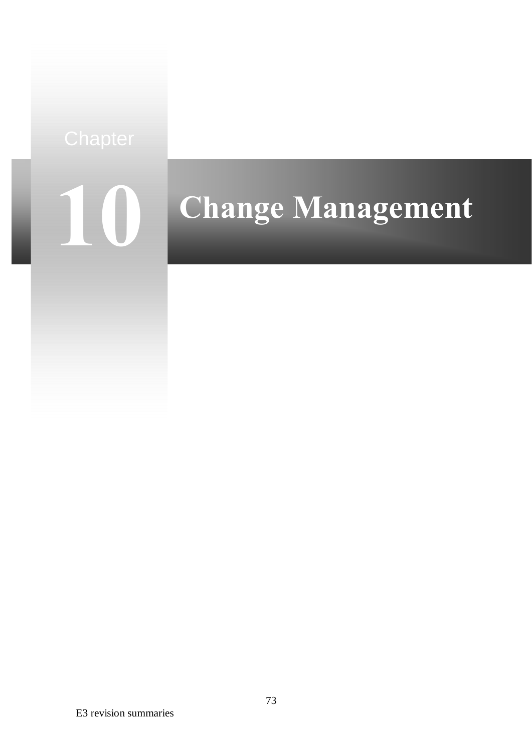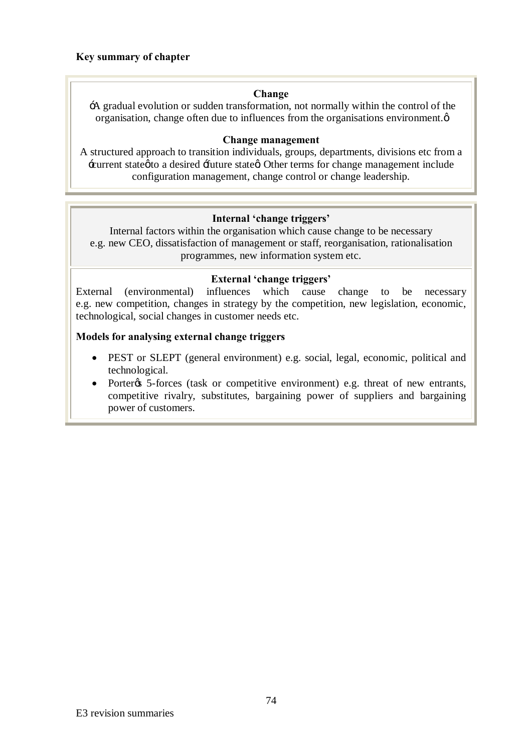# **Key summary of chapter**

# **Change**

'A gradual evolution or sudden transformation, not normally within the control of the organisation, change often due to influences from the organisations environment. $\varphi$ 

### **Change management**

A structured approach to transition individuals, groups, departments, divisions etc from a 'current state' to a desired 'future state'. Other terms for change management include configuration management, change control or change leadership.

# **Internal 'change triggers'**

Internal factors within the organisation which cause change to be necessary e.g. new CEO, dissatisfaction of management or staff, reorganisation, rationalisation programmes, new information system etc.

# **External 'change triggers'**

External (environmental) influences which cause change to be necessary e.g. new competition, changes in strategy by the competition, new legislation, economic, technological, social changes in customer needs etc.

# **Models for analysing external change triggers**

- PEST or SLEPT (general environment) e.g. social, legal, economic, political and technological.
- Porter & 5-forces (task or competitive environment) e.g. threat of new entrants, competitive rivalry, substitutes, bargaining power of suppliers and bargaining power of customers.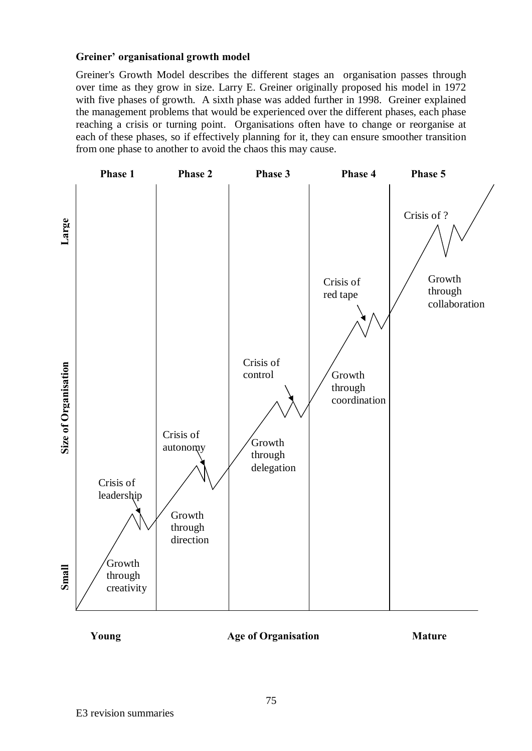# **Greiner' organisational growth model**

Greiner's Growth Model describes the different stages an organisation passes through over time as they grow in size. Larry E. Greiner originally proposed his model in 1972 with five phases of growth. A sixth phase was added further in 1998. Greiner explained the management problems that would be experienced over the different phases, each phase reaching a crisis or turning point. Organisations often have to change or reorganise at each of these phases, so if effectively planning for it, they can ensure smoother transition from one phase to another to avoid the chaos this may cause.



**Young Age of Organisation Mature**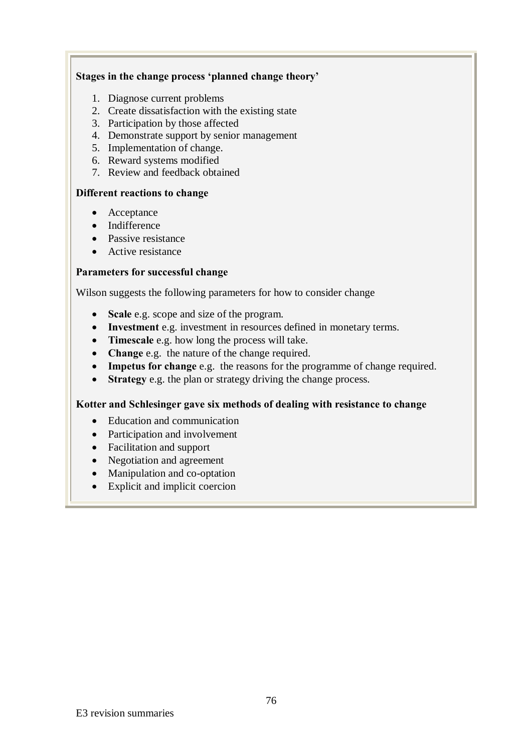# **Stages in the change process 'planned change theory'**

- 1. Diagnose current problems
- 2. Create dissatisfaction with the existing state
- 3. Participation by those affected
- 4. Demonstrate support by senior management
- 5. Implementation of change.
- 6. Reward systems modified
- 7. Review and feedback obtained

# **Different reactions to change**

- Acceptance
- Indifference
- Passive resistance
- Active resistance

# **Parameters for successful change**

Wilson suggests the following parameters for how to consider change

- · **Scale** e.g. scope and size of the program.
- · **Investment** e.g. investment in resources defined in monetary terms.
- · **Timescale** e.g. how long the process will take.
- · **Change** e.g. the nature of the change required.
- · **Impetus for change** e.g. the reasons for the programme of change required.
- · **Strategy** e.g. the plan or strategy driving the change process.

#### **Kotter and Schlesinger gave six methods of dealing with resistance to change**

- Education and communication
- Participation and involvement
- Facilitation and support
- Negotiation and agreement
- Manipulation and co-optation
- · Explicit and implicit coercion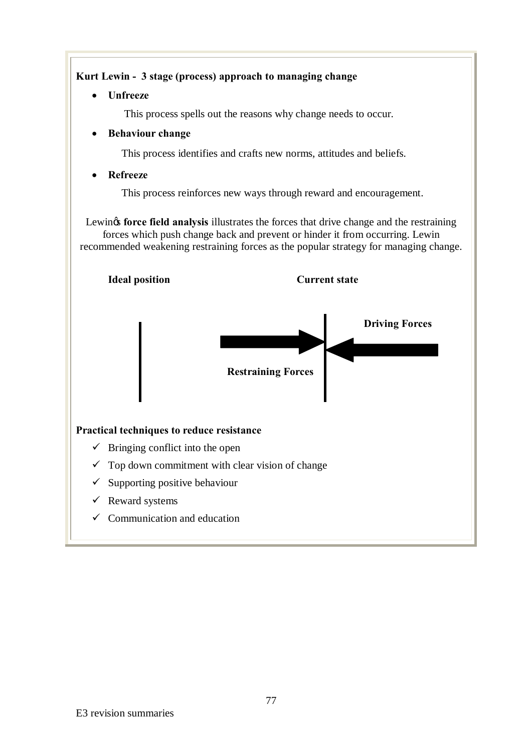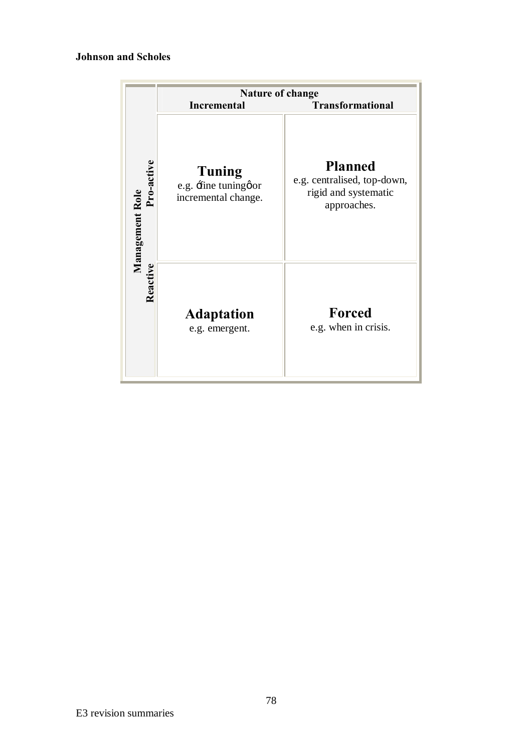# **Johnson and Scholes**

|                               | <b>Nature of change</b><br><b>Transformational</b><br><b>Incremental</b> |                                                                                      |  |
|-------------------------------|--------------------------------------------------------------------------|--------------------------------------------------------------------------------------|--|
| Pro-active<br>Management Role | Tuning<br>e.g. fine tuningøor<br>incremental change.                     | <b>Planned</b><br>e.g. centralised, top-down,<br>rigid and systematic<br>approaches. |  |
| Reactive                      | <b>Adaptation</b><br>e.g. emergent.                                      | Forced<br>e.g. when in crisis.                                                       |  |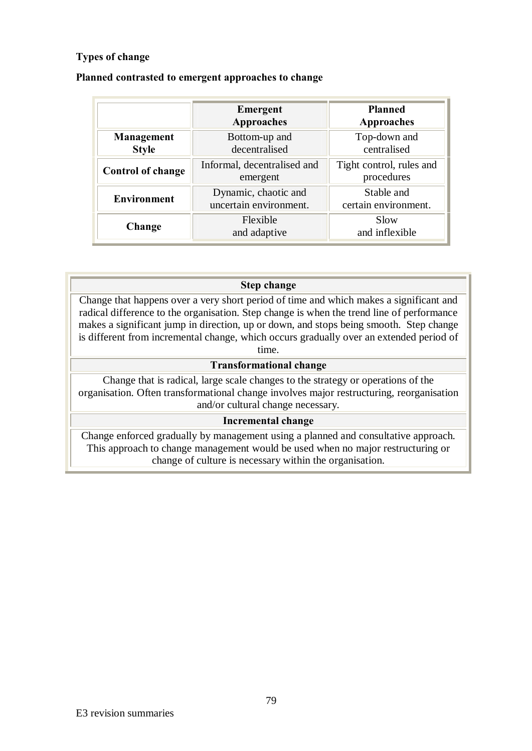# **Types of change**

|                            | Emergent<br><b>Approaches</b>                  | <b>Planned</b><br><b>Approaches</b>    |
|----------------------------|------------------------------------------------|----------------------------------------|
| Management<br><b>Style</b> | Bottom-up and<br>decentralised                 | Top-down and<br>centralised            |
| <b>Control of change</b>   | Informal, decentralised and<br>emergent        | Tight control, rules and<br>procedures |
| <b>Environment</b>         | Dynamic, chaotic and<br>uncertain environment. | Stable and<br>certain environment.     |
| Change                     | Flexible<br>and adaptive                       | Slow<br>and inflexible                 |

# **Planned contrasted to emergent approaches to change**

# **Step change** Change that happens over a very short period of time and which makes a significant and radical difference to the organisation. Step change is when the trend line of performance makes a significant jump in direction, up or down, and stops being smooth. Step change is different from incremental change, which occurs gradually over an extended period of time. **Transformational change** Change that is radical, large scale changes to the strategy or operations of the

organisation. Often transformational change involves major restructuring, reorganisation and/or cultural change necessary.

# **Incremental change**

Change enforced gradually by management using a planned and consultative approach. This approach to change management would be used when no major restructuring or change of culture is necessary within the organisation.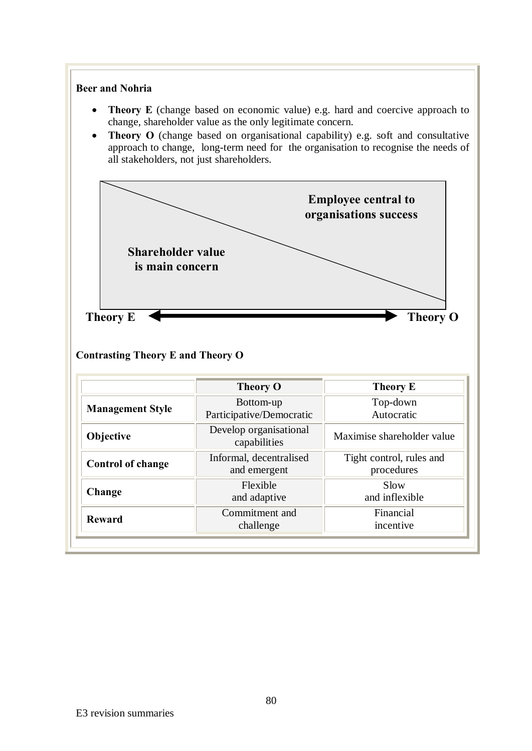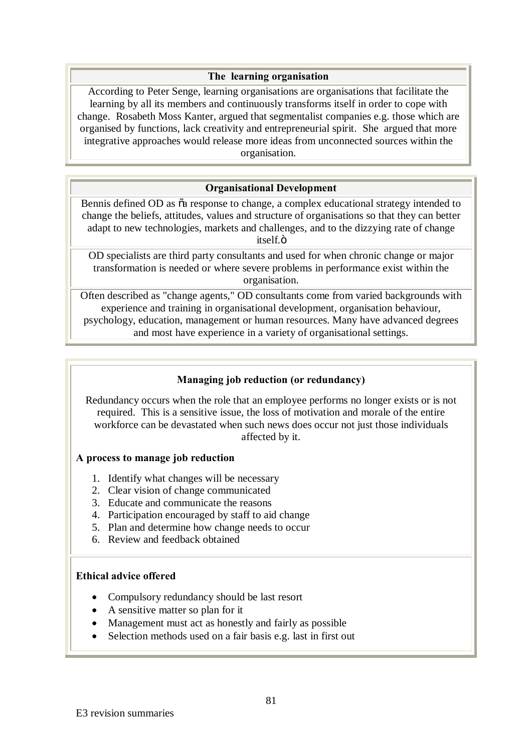### **The learning organisation**

According to Peter Senge, learning organisations are organisations that facilitate the learning by all its members and continuously transforms itself in order to cope with change. Rosabeth Moss Kanter, argued that segmentalist companies e.g. those which are organised by functions, lack creativity and entrepreneurial spirit. She argued that more integrative approaches would release more ideas from unconnected sources within the organisation.

# **Organisational Development**

Bennis defined OD as  $\tilde{\alpha}$  response to change, a complex educational strategy intended to change the beliefs, attitudes, values and structure of organisations so that they can better adapt to new technologies, markets and challenges, and to the dizzying rate of change itself.ö

OD specialists are third party consultants and used for when chronic change or major transformation is needed or where severe problems in performance exist within the organisation.

Often described as "change agents," OD consultants come from varied backgrounds with experience and training in organisational development, organisation behaviour, psychology, education, management or human resources. Many have advanced degrees and most have experience in a variety of organisational settings.

# **Managing job reduction (or redundancy)**

Redundancy occurs when the role that an employee performs no longer exists or is not required. This is a sensitive issue, the loss of motivation and morale of the entire workforce can be devastated when such news does occur not just those individuals affected by it.

#### **A process to manage job reduction**

- 1. Identify what changes will be necessary
- 2. Clear vision of change communicated
- 3. Educate and communicate the reasons
- 4. Participation encouraged by staff to aid change
- 5. Plan and determine how change needs to occur
- 6. Review and feedback obtained

#### **Ethical advice offered**

- Compulsory redundancy should be last resort
- A sensitive matter so plan for it
- Management must act as honestly and fairly as possible
- Selection methods used on a fair basis e.g. last in first out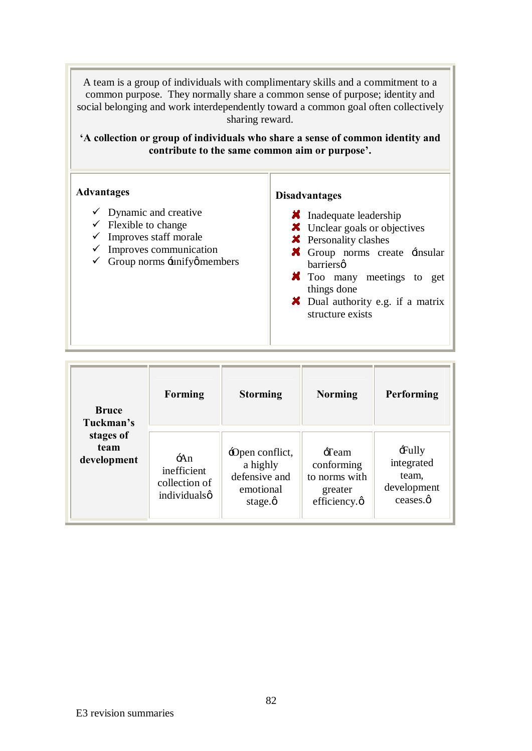A team is a group of individuals with complimentary skills and a commitment to a common purpose. They normally share a common sense of purpose; identity and social belonging and work interdependently toward a common goal often collectively sharing reward.

**'A collection or group of individuals who share a sense of common identity and contribute to the same common aim or purpose'.**

| <b>Advantages</b>                                                                                                                                                                                      | <b>Disadvantages</b>                                                                                                                                                                                                                                                                    |
|--------------------------------------------------------------------------------------------------------------------------------------------------------------------------------------------------------|-----------------------------------------------------------------------------------------------------------------------------------------------------------------------------------------------------------------------------------------------------------------------------------------|
| $\checkmark$ Dynamic and creative<br>$\checkmark$ Flexible to change<br>$\checkmark$ Improves staff morale<br>$\checkmark$ Improves communication<br>$\checkmark$ Group norms $\exists$ unifyø members | <b>X</b> Inadequate leadership<br>X Unclear goals or objectives<br><b>X</b> Personality clashes<br>$\blacktriangleright$ Group norms create $\exists$ insular<br>barriersø<br><b>X</b> Too many meetings to get<br>things done<br>X Dual authority e.g. if a matrix<br>structure exists |

| <b>Bruce</b><br>Tuckman's        | <b>Forming</b>                                            | <b>Storming</b>                                                               | <b>Norming</b>                                                           | Performing                                                   |
|----------------------------------|-----------------------------------------------------------|-------------------------------------------------------------------------------|--------------------------------------------------------------------------|--------------------------------------------------------------|
| stages of<br>team<br>development | $\div An$<br>inefficient<br>collection of<br>individualsø | -Open conflict,<br>a highly<br>defensive and<br>emotional<br>stage. $\varphi$ | $-$ Team<br>conforming<br>to norms with<br>greater<br>efficiency. $\phi$ | $\pm$ ully<br>integrated<br>team,<br>development<br>ceases.ø |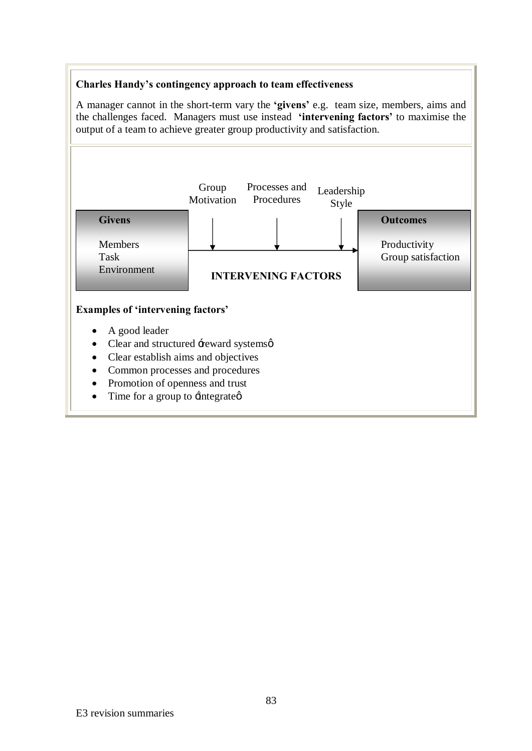# **Charles Handy's contingency approach to team effectiveness**

A manager cannot in the short-term vary the **'givens'** e.g. team size, members, aims and the challenges faced. Managers must use instead **'intervening factors'** to maximise the output of a team to achieve greater group productivity and satisfaction.

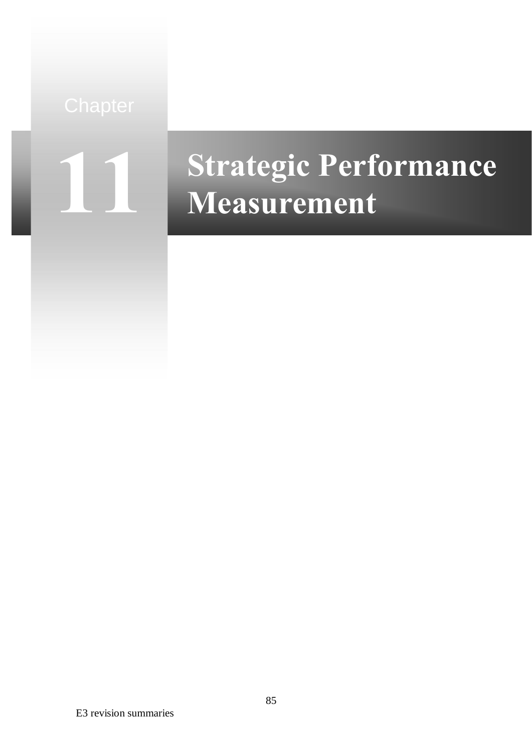

# **Strategic Performance Measurement**

E3 revision summaries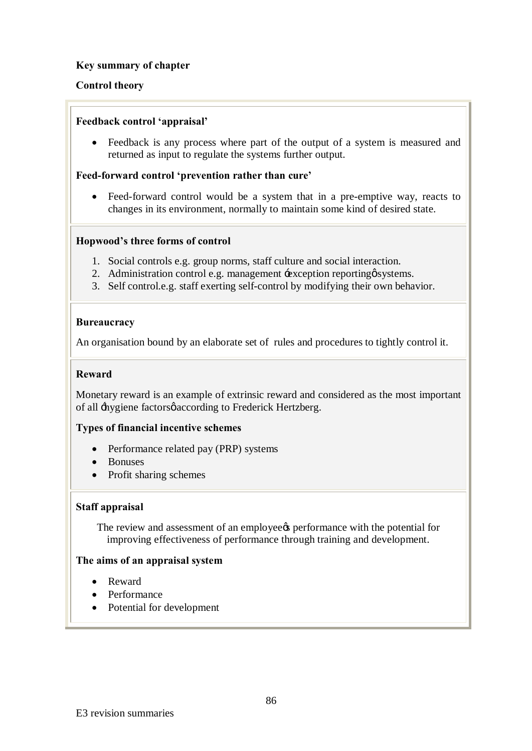# **Key summary of chapter**

# **Control theory**

### **Feedback control 'appraisal'**

• Feedback is any process where part of the output of a system is measured and returned as input to regulate the systems further output.

### **Feed-forward control 'prevention rather than cure'**

• Feed-forward control would be a system that in a pre-emptive way, reacts to changes in its environment, normally to maintain some kind of desired state.

#### **Hopwood's three forms of control**

- 1. Social controls e.g. group norms, staff culture and social interaction.
- 2. Administration control e.g. management  $\pm$  exception reporting systems.
- 3. Self control.e.g. staff exerting self-control by modifying their own behavior.

#### **Bureaucracy**

An organisation bound by an elaborate set of rules and procedures to tightly control it.

# **Reward**

Monetary reward is an example of extrinsic reward and considered as the most important of all  $\pm$ hygiene factorsø according to Frederick Hertzberg.

#### **Types of financial incentive schemes**

- Performance related pay (PRP) systems
- · Bonuses
- Profit sharing schemes

#### **Staff appraisal**

The review and assessment of an employee to performance with the potential for improving effectiveness of performance through training and development.

#### **The aims of an appraisal system**

- · Reward
- Performance
- Potential for development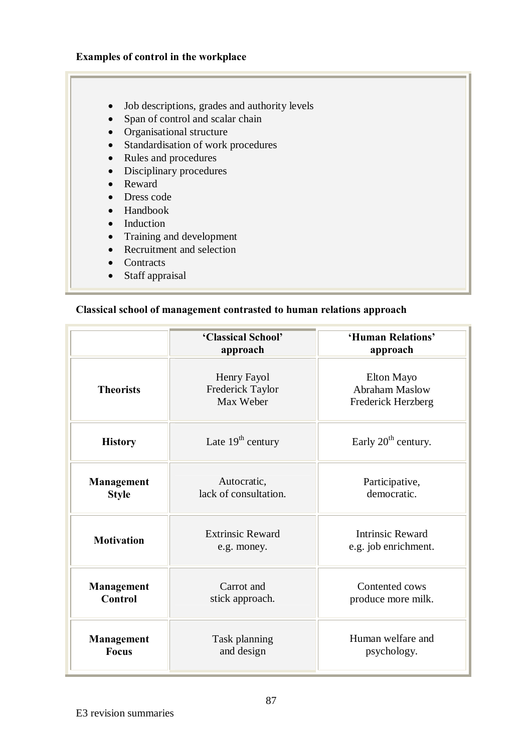# **Examples of control in the workplace**

- · Job descriptions, grades and authority levels
- Span of control and scalar chain
- Organisational structure
- Standardisation of work procedures
- Rules and procedures
- Disciplinary procedures
- · Reward
- · Dress code
- Handbook
- Induction
- Training and development
- Recruitment and selection
- Contracts
- Staff appraisal

# **Classical school of management contrasted to human relations approach**

|                                                        | 'Human Relations'<br>'Classical School'<br>approach<br>approach                           |                                                           |  |
|--------------------------------------------------------|-------------------------------------------------------------------------------------------|-----------------------------------------------------------|--|
| <b>Theorists</b>                                       | Henry Fayol<br>Frederick Taylor<br>Max Weber                                              | Elton Mayo<br><b>Abraham Maslow</b><br>Frederick Herzberg |  |
| <b>History</b>                                         | Late $19th$ century                                                                       | Early $20th$ century.                                     |  |
| <b>Management</b><br><b>Style</b>                      | Autocratic,<br>lack of consultation.                                                      | Participative,<br>democratic.                             |  |
| <b>Motivation</b>                                      | <b>Intrinsic Reward</b><br><b>Extrinsic Reward</b><br>e.g. job enrichment.<br>e.g. money. |                                                           |  |
| Carrot and<br>Management<br>Control<br>stick approach. |                                                                                           | Contented cows<br>produce more milk.                      |  |
| <b>Management</b><br><b>Focus</b>                      | Task planning<br>and design                                                               | Human welfare and<br>psychology.                          |  |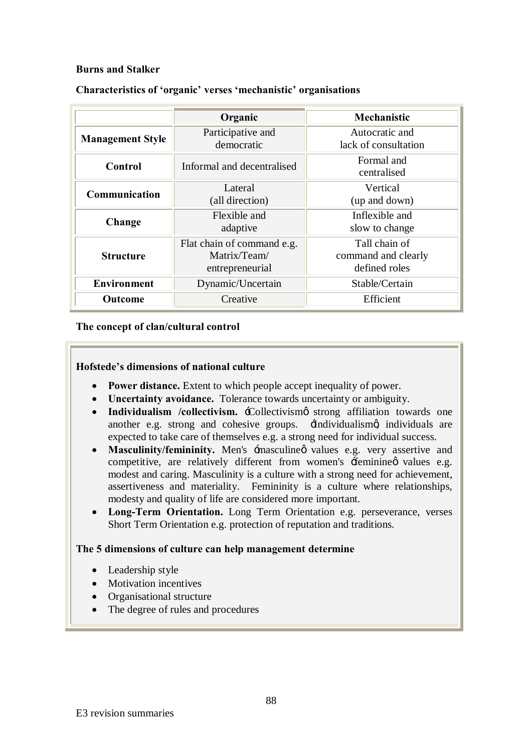# **Burns and Stalker**

|                                                            | Organic                                                       | Mechanistic                                           |  |
|------------------------------------------------------------|---------------------------------------------------------------|-------------------------------------------------------|--|
| Participative and<br><b>Management Style</b><br>democratic |                                                               | Autocratic and<br>lack of consultation                |  |
| Control                                                    | Informal and decentralised                                    | Formal and<br>centralised                             |  |
| Lateral<br>Communication<br>(all direction)                |                                                               | Vertical<br>(up and down)                             |  |
| Flexible and<br>Change<br>adaptive                         |                                                               | Inflexible and<br>slow to change                      |  |
| <b>Structure</b>                                           | Flat chain of command e.g.<br>Matrix/Team/<br>entrepreneurial | Tall chain of<br>command and clearly<br>defined roles |  |
| <b>Environment</b>                                         | Dynamic/Uncertain                                             | Stable/Certain                                        |  |
| Efficient<br>Outcome<br>Creative                           |                                                               |                                                       |  |

# **Characteristics of 'organic' verses 'mechanistic' organisations**

# **The concept of clan/cultural control**

#### **Hofstede's dimensions of national culture**

- · **Power distance.** Extent to which people accept inequality of power.
- · **Uncertainty avoidance.** Tolerance towards uncertainty or ambiguity.
- Individualism /collectivism. :Collectivismo strong affiliation towards one another e.g. strong and cohesive groups. Here is individualismed individuals are expected to take care of themselves e.g. a strong need for individual success.
- Masculinity/femininity. Men's  $\pm$ masculine values e.g. very assertive and competitive, are relatively different from women's  $\pm$ eminine $\phi$  values e.g. modest and caring. Masculinity is a culture with a strong need for achievement, assertiveness and materiality. Femininity is a culture where relationships, modesty and quality of life are considered more important.
- · **Long-Term Orientation.** Long Term Orientation e.g. perseverance, verses Short Term Orientation e.g. protection of reputation and traditions.

#### **The 5 dimensions of culture can help management determine**

- Leadership style
- Motivation incentives
- Organisational structure
- The degree of rules and procedures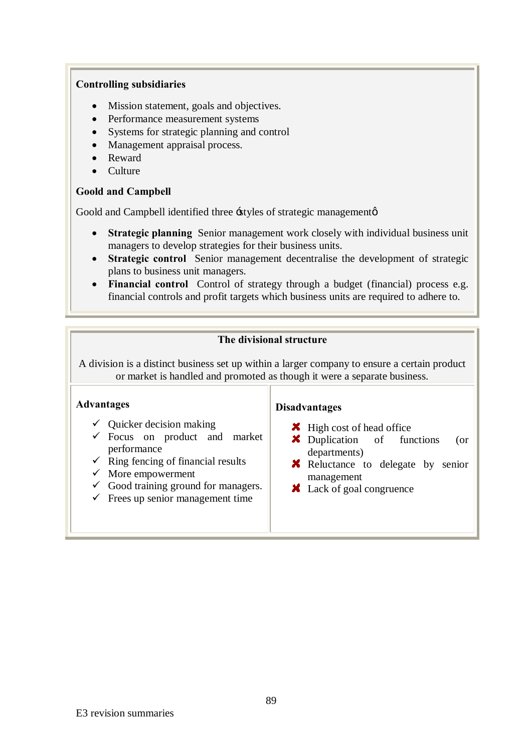#### **Controlling subsidiaries**

- Mission statement, goals and objectives.
- Performance measurement systems
- Systems for strategic planning and control
- Management appraisal process.
- · Reward
- · Culture

# **Goold and Campbell**

Goold and Campbell identified three -styles of strategic management of

- **Strategic planning** Senior management work closely with individual business unit managers to develop strategies for their business units.
- **Strategic control** Senior management decentralise the development of strategic plans to business unit managers.
- · **Financial control** Control of strategy through a budget (financial) process e.g. financial controls and profit targets which business units are required to adhere to.

# **The divisional structure**

A division is a distinct business set up within a larger company to ensure a certain product or market is handled and promoted as though it were a separate business.

#### **Advantages**

- $\checkmark$  Quicker decision making
- $\checkmark$  Focus on product and market performance
- $\checkmark$  Ring fencing of financial results
- $\checkmark$  More empowerment
- $\checkmark$  Good training ground for managers.
- $\checkmark$  Frees up senior management time

#### **Disadvantages**

- $\blacktriangleright$  High cost of head office
- **X** Duplication of functions (or departments)
- **X** Reluctance to delegate by senior management
- **X** Lack of goal congruence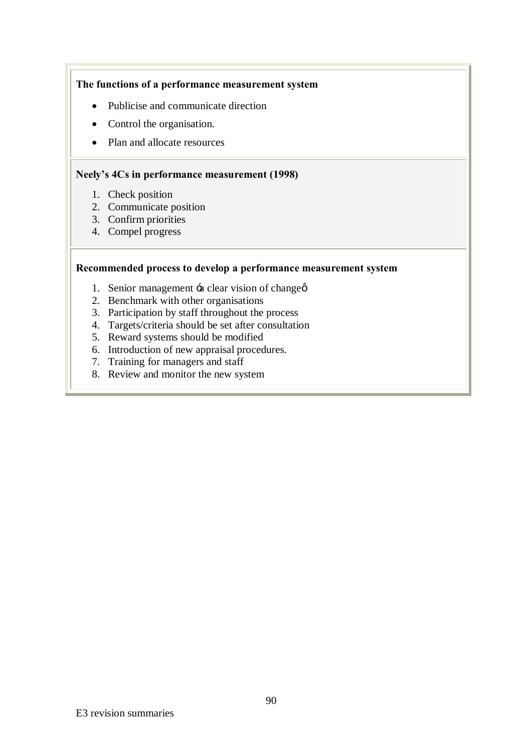# **The functions of a performance measurement system**

- Publicise and communicate direction
- Control the organisation.
- Plan and allocate resources

#### **Neely's 4Cs in performance measurement (1998)**

- 1. Check position
- 2. Communicate position
- 3. Confirm priorities
- 4. Compel progress

#### **Recommended process to develop a performance measurement system**

- 1. Senior management  $\div$ a clear vision of change $\phi$
- 2. Benchmark with other organisations
- 3. Participation by staff throughout the process
- 4. Targets/criteria should be set after consultation
- 5. Reward systems should be modified
- 6. Introduction of new appraisal procedures.
- 7. Training for managers and staff
- 8. Review and monitor the new system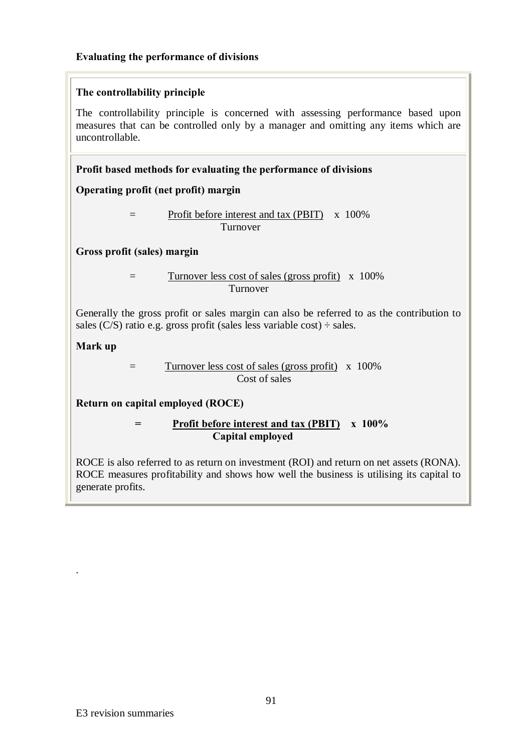# **Evaluating the performance of divisions**

# **The controllability principle**

The controllability principle is concerned with assessing performance based upon measures that can be controlled only by a manager and omitting any items which are uncontrollable.

# **Profit based methods for evaluating the performance of divisions**

# **Operating profit (net profit) margin**

 = Profit before interest and tax (PBIT) x 100% Turnover

# **Gross profit (sales) margin**

= Turnover less cost of sales (gross profit) x 100% Turnover

Generally the gross profit or sales margin can also be referred to as the contribution to sales (C/S) ratio e.g. gross profit (sales less variable cost)  $\div$  sales.

# **Mark up**

.

= Turnover less cost of sales (gross profit) x 100% Cost of sales

# **Return on capital employed (ROCE)**

# **= Profit before interest and tax (PBIT) x 100% Capital employed**

ROCE is also referred to as return on investment (ROI) and return on net assets (RONA). ROCE measures profitability and shows how well the business is utilising its capital to generate profits.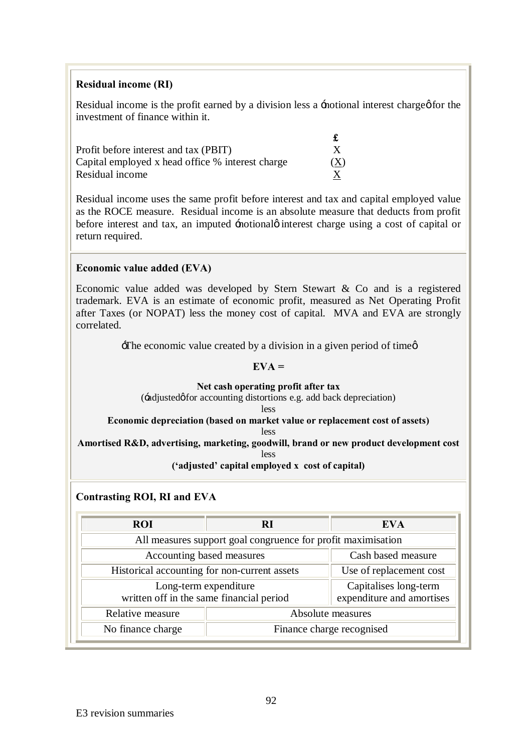### **Residual income (RI)**

Residual income is the profit earned by a division less a -notional interest charge of or the investment of finance within it.

| Profit before interest and tax (PBIT)            |     |
|--------------------------------------------------|-----|
| Capital employed x head office % interest charge | (X) |
| Residual income                                  |     |

Residual income uses the same profit before interest and tax and capital employed value as the ROCE measure. Residual income is an absolute measure that deducts from profit before interest and tax, an imputed -notional interest charge using a cost of capital or return required.

# **Economic value added (EVA)**

Economic value added was developed by Stern Stewart & Co and is a registered [trademark.](http://en.wikipedia.org/wiki/Trademark) EVA is an estimate of economic profit, measured as Net Operating Profit after Taxes (or [NOPAT\)](http://en.wikipedia.org/wiki/NOPAT) less the money cost of capital. MVA and EVA are strongly correlated.

 $\exists$ The economic value created by a division in a given period of time  $\emptyset$ 

#### **EVA =**

#### **Net cash operating profit after tax**

( $\div$ adjusted $\phi$  for accounting distortions e.g. add back depreciation)

less

#### **Economic depreciation (based on market value or replacement cost of assets)**

less

**Amortised R&D, advertising, marketing, goodwill, brand or new product development cost**

less

#### **('adjusted' capital employed x cost of capital)**

#### **Contrasting ROI, RI and EVA**

| <b>ROI</b>                                                        | RI                                                           | EVA                                                |  |  |
|-------------------------------------------------------------------|--------------------------------------------------------------|----------------------------------------------------|--|--|
|                                                                   | All measures support goal congruence for profit maximisation |                                                    |  |  |
| Accounting based measures                                         | Cash based measure                                           |                                                    |  |  |
| Historical accounting for non-current assets                      |                                                              | Use of replacement cost                            |  |  |
| Long-term expenditure<br>written off in the same financial period |                                                              | Capitalises long-term<br>expenditure and amortises |  |  |
| Relative measure                                                  | Absolute measures                                            |                                                    |  |  |
| No finance charge                                                 | Finance charge recognised                                    |                                                    |  |  |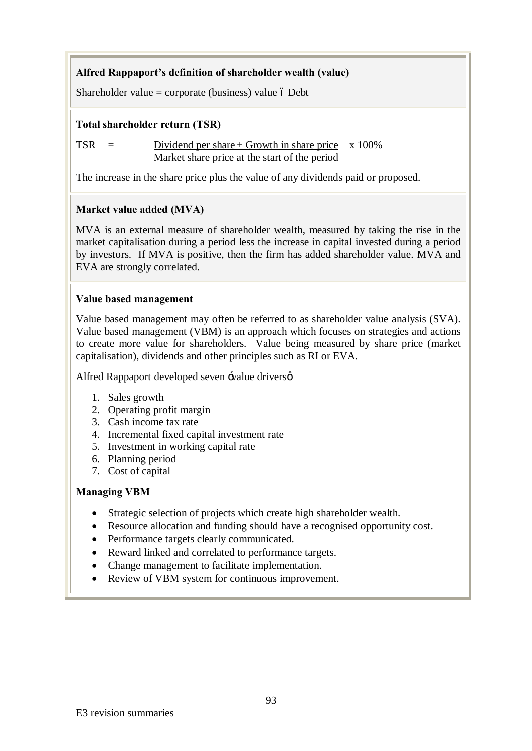# **Alfred Rappaport's definition of shareholder wealth (value)**

Shareholder value = corporate (business) value  $\acute{o}$  Debt

# **Total shareholder return (TSR)**

 $TSR = Dividend per share + Growth in share price x 100\%$ Market share price at the start of the period

The increase in the share price plus the value of any dividends paid or proposed.

# **Market value added (MVA)**

MVA is an external measure of shareholder wealth, measured by taking the rise in the market capitalisation during a period less the increase in capital invested during a period by investors. If MVA is positive, then the firm has added shareholder value. MVA and EVA are strongly correlated.

# **Value based management**

Value based management may often be referred to as shareholder value analysis (SVA). Value based management (VBM) is an approach which focuses on strategies and actions to create more value for shareholders. Value being measured by share price (market capitalisation), dividends and other principles such as RI or EVA.

Alfred Rappaport developed seven  $\exists$ value drivers $\varphi$ 

- 1. Sales growth
- 2. Operating profit margin
- 3. Cash income tax rate
- 4. Incremental fixed capital investment rate
- 5. Investment in working capital rate
- 6. Planning period
- 7. Cost of capital

# **Managing VBM**

- Strategic selection of projects which create high shareholder wealth.
- Resource allocation and funding should have a recognised opportunity cost.
- · Performance targets clearly communicated.
- · Reward linked and correlated to performance targets.
- · Change management to facilitate implementation.
- Review of VBM system for continuous improvement.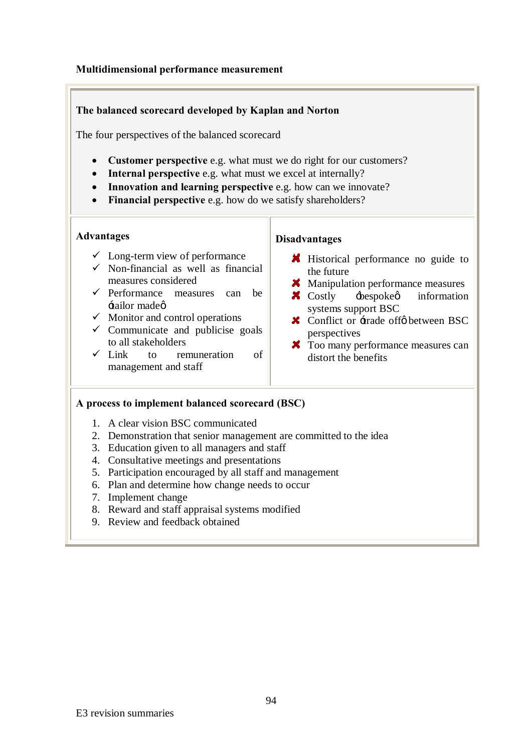# **Multidimensional performance measurement**

# **The balanced scorecard developed by Kaplan and Norton**

The four perspectives of the balanced scorecard

- · **Customer perspective** e.g. what must we do right for our customers?
- · **Internal perspective** e.g. what must we excel at internally?
- · **Innovation and learning perspective** e.g. how can we innovate?
- · **Financial perspective** e.g. how do we satisfy shareholders?

#### **Advantages**

- $\checkmark$  Long-term view of performance
- $\checkmark$  Non-financial as well as financial measures considered
- $\checkmark$  Performance measures can be 'tailor made'
- $\checkmark$  Monitor and control operations
- $\checkmark$  Communicate and publicise goals to all stakeholders
- $\checkmark$  Link to remuneration of management and staff

#### **Disadvantages**

- **K** Historical performance no guide to the future
- **X** Manipulation performance measures
- $\boldsymbol{\times}$  Costly  $\div$  bespokes information systems support BSC
- $\boldsymbol{\times}$  Conflict or  $\pm$ rade off $\phi$  between BSC perspectives
- $\overrightarrow{X}$  Too many performance measures can distort the benefits

#### **A process to implement balanced scorecard (BSC)**

- 1. A clear vision BSC communicated
- 2. Demonstration that senior management are committed to the idea
- 3. Education given to all managers and staff
- 4. Consultative meetings and presentations
- 5. Participation encouraged by all staff and management
- 6. Plan and determine how change needs to occur
- 7. Implement change
- 8. Reward and staff appraisal systems modified
- 9. Review and feedback obtained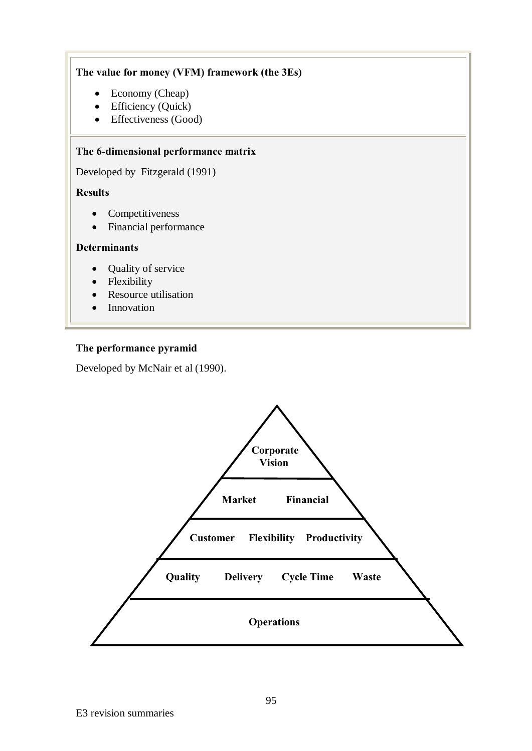# **The value for money (VFM) framework (the 3Es)**

- Economy (Cheap)
- Efficiency (Quick)
- Effectiveness (Good)

# **The 6-dimensional performance matrix**

Developed by Fitzgerald (1991)

# **Results**

- Competitiveness
- · Financial performance

# **Determinants**

- Quality of service
- Flexibility
- Resource utilisation
- Innovation

# **The performance pyramid**

Developed by McNair et al (1990).

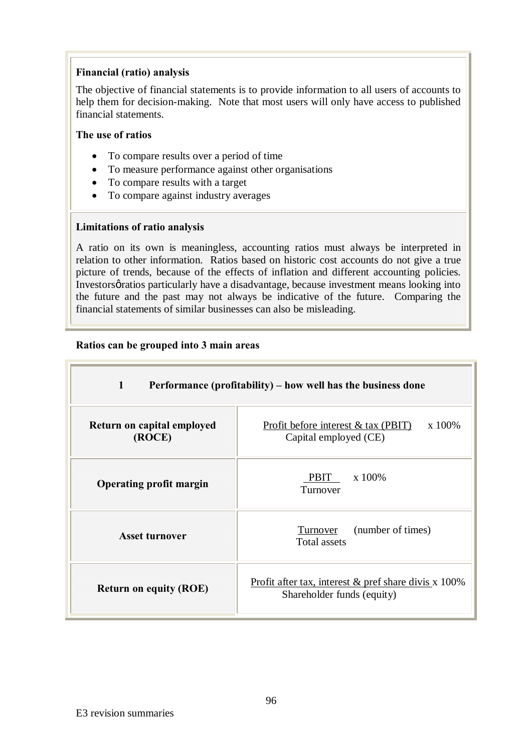# **Financial (ratio) analysis**

The objective of financial statements is to provide information to all users of accounts to help them for decision-making. Note that most users will only have access to published financial statements.

#### **The use of ratios**

- · To compare results over a period of time
- · To measure performance against other organisations
- To compare results with a target
- · To compare against industry averages

# **Limitations of ratio analysis**

A ratio on its own is meaningless, accounting ratios must always be interpreted in relation to other information. Ratios based on historic cost accounts do not give a true picture of trends, because of the effects of inflation and different accounting policies. Investors particularly have a disadvantage, because investment means looking into the future and the past may not always be indicative of the future. Comparing the financial statements of similar businesses can also be misleading.

# **Ratios can be grouped into 3 main areas**

| $\mathbf{1}$<br>Performance (profitability) – how well has the business done |                                                                                         |  |  |
|------------------------------------------------------------------------------|-----------------------------------------------------------------------------------------|--|--|
| Return on capital employed<br>(ROCE)                                         | x 100%<br>Profit before interest $& \text{tax } (\text{PBIT})$<br>Capital employed (CE) |  |  |
| <b>Operating profit margin</b>                                               | x 100%<br>PBIT<br>Turnover                                                              |  |  |
| <b>Asset turnover</b>                                                        | (number of times)<br>Turnover<br><b>Total assets</b>                                    |  |  |
| <b>Return on equity (ROE)</b>                                                | Profit after tax, interest $\&$ pref share divis x 100%<br>Shareholder funds (equity)   |  |  |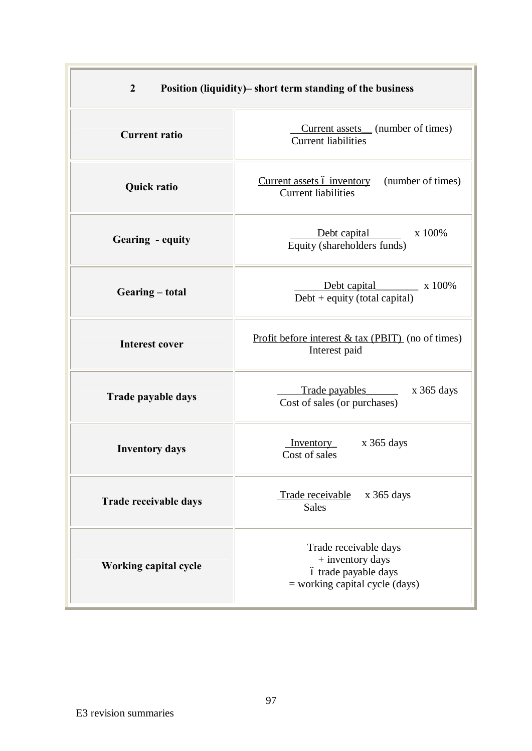| $\overline{2}$<br>Position (liquidity)– short term standing of the business |                                                                                                       |  |
|-----------------------------------------------------------------------------|-------------------------------------------------------------------------------------------------------|--|
| <b>Current ratio</b>                                                        | Current assets (number of times)<br><b>Current liabilities</b>                                        |  |
| <b>Quick ratio</b>                                                          | (number of times)<br>Current assets ó inventory<br><b>Current liabilities</b>                         |  |
| Gearing - equity                                                            | x 100%<br>Debt capital<br>Equity (shareholders funds)                                                 |  |
| Gearing – total                                                             | Debt capital x 100%<br>$Debt + equity (total capital)$                                                |  |
| <b>Interest cover</b>                                                       | Profit before interest $& \text{tax } (\text{PBIT})$ (no of times)<br>Interest paid                   |  |
| Trade payable days                                                          | Trade payables<br>$x$ 365 days<br>Cost of sales (or purchases)                                        |  |
| <b>Inventory days</b>                                                       | $x$ 365 days<br>Inventory<br>Cost of sales                                                            |  |
| Trade receivable days                                                       | Trade receivable<br>$x$ 365 days<br><b>Sales</b>                                                      |  |
| <b>Working capital cycle</b>                                                | Trade receivable days<br>+ inventory days<br>ó trade payable days<br>$=$ working capital cycle (days) |  |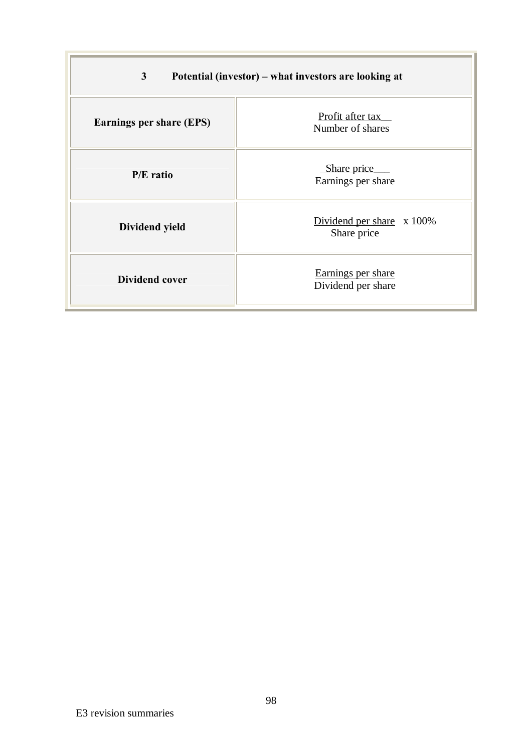| 3 <sup>1</sup><br>Potential (investor) – what investors are looking at |                                             |  |
|------------------------------------------------------------------------|---------------------------------------------|--|
| <b>Earnings per share (EPS)</b>                                        | Profit after tax<br>Number of shares        |  |
| $P/E$ ratio                                                            | Share price<br>Earnings per share           |  |
| Dividend yield                                                         | Dividend per share $x 100\%$<br>Share price |  |
| <b>Dividend cover</b>                                                  | Earnings per share<br>Dividend per share    |  |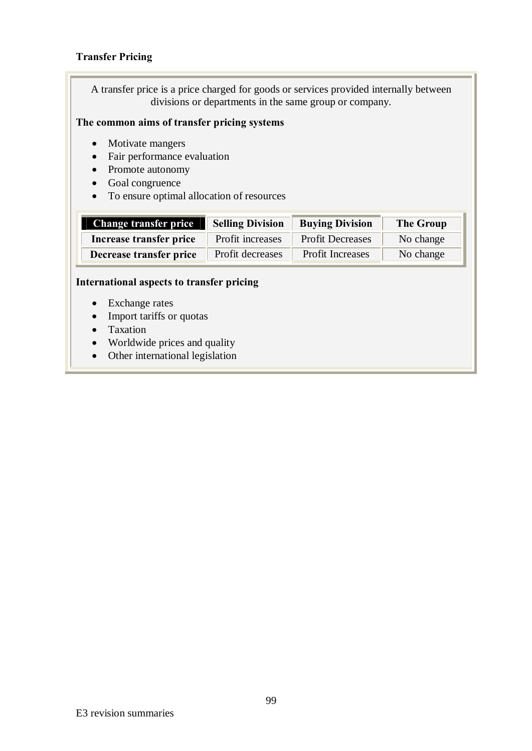# **Transfer Pricing**

A transfer price is a price charged for goods or services provided internally between divisions or departments in the same group or company.

### **The common aims of transfer pricing systems**

- Motivate mangers
- Fair performance evaluation
- Promote autonomy
- Goal congruence
- · To ensure optimal allocation of resources

| <b>Change transfer price</b> | <b>Selling Division</b> | <b>Buying Division</b>  | <b>The Group</b> |
|------------------------------|-------------------------|-------------------------|------------------|
| Increase transfer price      | Profit increases        | <b>Profit Decreases</b> | No change        |
| Decrease transfer price      | Profit decreases        | <b>Profit Increases</b> | No change        |

#### **International aspects to transfer pricing**

- Exchange rates
- Import tariffs or quotas
- Taxation
- · Worldwide prices and quality
- Other international legislation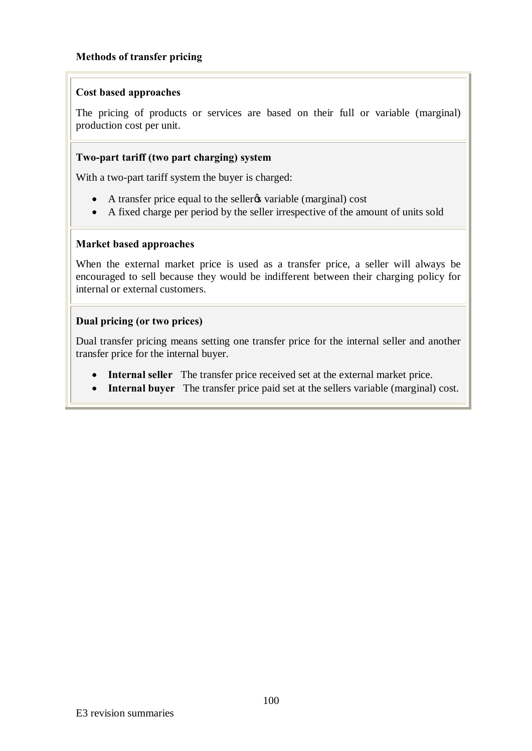# **Methods of transfer pricing**

### **Cost based approaches**

The pricing of products or services are based on their full or variable (marginal) production cost per unit.

# **Two-part tariff (two part charging) system**

With a two-part tariff system the buyer is charged:

- A transfer price equal to the sellergs variable (marginal) cost
- · A fixed charge per period by the seller irrespective of the amount of units sold

#### **Market based approaches**

When the external market price is used as a transfer price, a seller will always be encouraged to sell because they would be indifferent between their charging policy for internal or external customers.

# **Dual pricing (or two prices)**

Dual transfer pricing means setting one transfer price for the internal seller and another transfer price for the internal buyer.

- · **Internal seller** The transfer price received set at the external market price.
- · **Internal buyer** The transfer price paid set at the sellers variable (marginal) cost.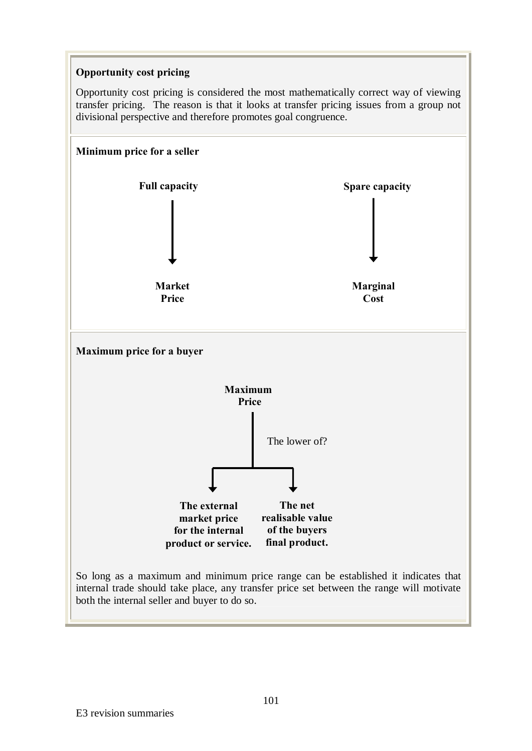# **Opportunity cost pricing**

Opportunity cost pricing is considered the most mathematically correct way of viewing transfer pricing. The reason is that it looks at transfer pricing issues from a group not divisional perspective and therefore promotes goal congruence.

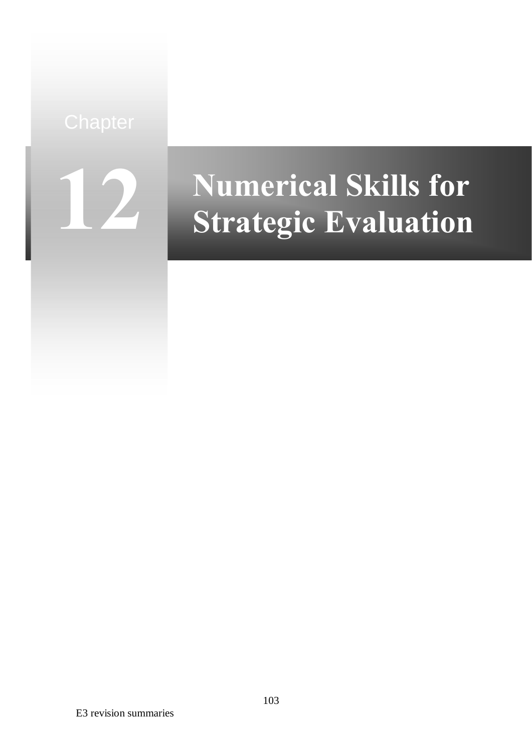**12**

# **Numerical Skills for Strategic Evaluation**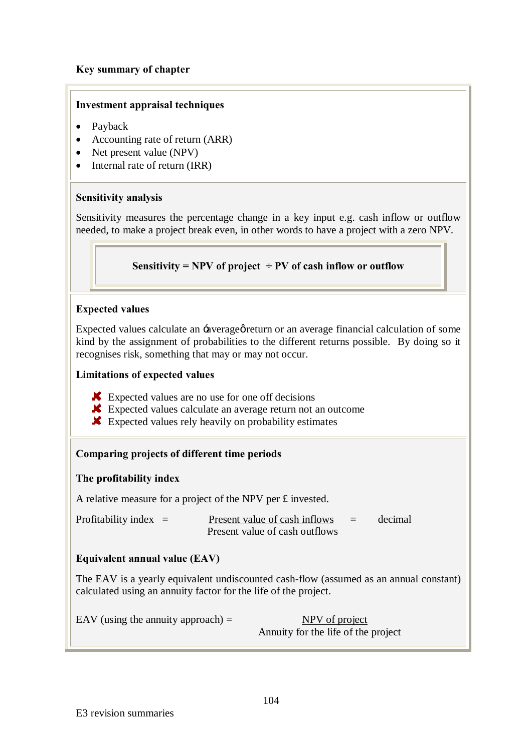# **Key summary of chapter**

# **Investment appraisal techniques**

- Payback
- Accounting rate of return (ARR)
- Net present value (NPV)
- Internal rate of return (IRR)

# **Sensitivity analysis**

Sensitivity measures the percentage change in a key input e.g. cash inflow or outflow needed, to make a project break even, in other words to have a project with a zero NPV.

# **Sensitivity = NPV of project**  $\div$  **PV of cash inflow or outflow**

# **Expected values**

Expected values calculate an -average or return or an average financial calculation of some kind by the assignment of probabilities to the different returns possible. By doing so it recognises risk, something that may or may not occur.

#### **Limitations of expected values**

- **K** Expected values are no use for one off decisions
- **K** Expected values calculate an average return not an outcome
- Expected values rely heavily on probability estimates

# **Comparing projects of different time periods**

# **The profitability index**

A relative measure for a project of the NPV per £ invested.

| Profitability index $=$ | Present value of cash inflows  | $\equiv$ 1 | decimal |
|-------------------------|--------------------------------|------------|---------|
|                         | Present value of cash outflows |            |         |

# **Equivalent annual value (EAV)**

The EAV is a yearly equivalent undiscounted cash-flow (assumed as an annual constant) calculated using an annuity factor for the life of the project.

EAV (using the annuity approach)  $=$  NPV of project

Annuity for the life of the project